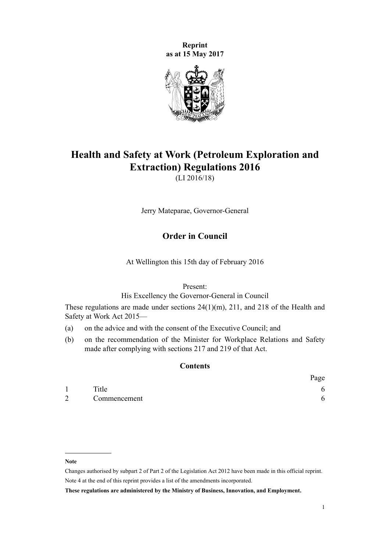**Reprint as at 15 May 2017**



# **Health and Safety at Work (Petroleum Exploration and Extraction) Regulations 2016**

(LI 2016/18)

Jerry Mateparae, Governor-General

# **Order in Council**

At Wellington this 15th day of February 2016

Present:

His Excellency the Governor-General in Council

These regulations are made under [sections 24\(1\)\(m\)](http://prd-lgnz-nlb.prd.pco.net.nz/pdflink.aspx?id=DLM5976877), [211,](http://prd-lgnz-nlb.prd.pco.net.nz/pdflink.aspx?id=DLM5977214) and [218](http://prd-lgnz-nlb.prd.pco.net.nz/pdflink.aspx?id=DLM5977220) of the Health and Safety at Work Act 2015—

- (a) on the advice and with the consent of the Executive Council; and
- (b) on the recommendation of the Minister for Workplace Relations and Safety made after complying with [sections 217](http://prd-lgnz-nlb.prd.pco.net.nz/pdflink.aspx?id=DLM5977219) and [219](http://prd-lgnz-nlb.prd.pco.net.nz/pdflink.aspx?id=DLM5977221) of that Act.

# **Contents**

|                |              | Page |
|----------------|--------------|------|
|                | Title        |      |
| $\overline{2}$ | Commencement |      |

#### **Note**

Changes authorised by [subpart 2](http://prd-lgnz-nlb.prd.pco.net.nz/pdflink.aspx?id=DLM2998524) of Part 2 of the Legislation Act 2012 have been made in this official reprint. Note 4 at the end of this reprint provides a list of the amendments incorporated.

**These regulations are administered by the Ministry of Business, Innovation, and Employment.**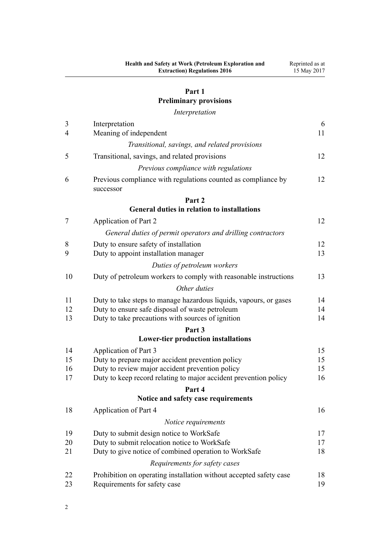# **[Part 1](#page-5-0)**

# **[Preliminary provisions](#page-5-0)**

*[Interpretation](#page-5-0)*

| 3              | Interpretation                                                             | 6        |
|----------------|----------------------------------------------------------------------------|----------|
| $\overline{4}$ | Meaning of independent                                                     | 11       |
|                | Transitional, savings, and related provisions                              |          |
| 5              | Transitional, savings, and related provisions                              | 12       |
|                | Previous compliance with regulations                                       |          |
| 6              | Previous compliance with regulations counted as compliance by<br>successor | 12       |
|                | Part 2                                                                     |          |
|                | <b>General duties in relation to installations</b>                         |          |
| 7              | Application of Part 2                                                      | 12       |
|                | General duties of permit operators and drilling contractors                |          |
| 8              | Duty to ensure safety of installation                                      | 12       |
| 9              | Duty to appoint installation manager                                       | 13       |
|                | Duties of petroleum workers                                                |          |
| 10             | Duty of petroleum workers to comply with reasonable instructions           | 13       |
|                | Other duties                                                               |          |
| 11             | Duty to take steps to manage hazardous liquids, vapours, or gases          | 14       |
| 12             | Duty to ensure safe disposal of waste petroleum                            | 14       |
| 13             | Duty to take precautions with sources of ignition                          | 14       |
|                | Part 3                                                                     |          |
|                | <b>Lower-tier production installations</b>                                 |          |
| 14<br>15       | Application of Part 3<br>Duty to prepare major accident prevention policy  | 15<br>15 |
| 16             | Duty to review major accident prevention policy                            | 15       |
| 17             | Duty to keep record relating to major accident prevention policy           | 16       |
|                | Part 4                                                                     |          |
|                | Notice and safety case requirements                                        |          |
| 18             | Application of Part 4                                                      | 16       |
|                | Notice requirements                                                        |          |
| 19             | Duty to submit design notice to WorkSafe                                   | 17       |
| 20             | Duty to submit relocation notice to WorkSafe                               | 17       |
| 21             | Duty to give notice of combined operation to WorkSafe                      | 18       |
|                | Requirements for safety cases                                              |          |
| 22             | Prohibition on operating installation without accepted safety case         | 18       |
| 23             | Requirements for safety case                                               | 19       |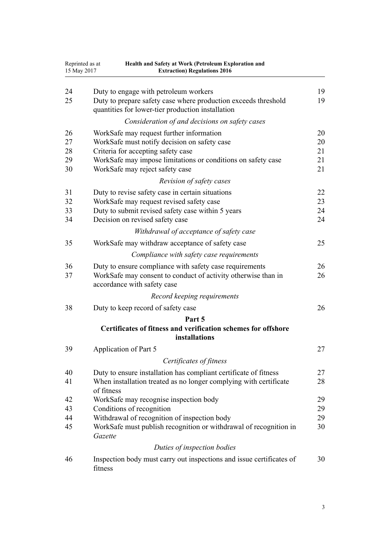| 15 May 2017          | Reprinted as at<br>Health and Safety at Work (Petroleum Exploration and<br><b>Extraction) Regulations 2016</b>                                                                                                   |                      |
|----------------------|------------------------------------------------------------------------------------------------------------------------------------------------------------------------------------------------------------------|----------------------|
| 24<br>25             | Duty to engage with petroleum workers<br>Duty to prepare safety case where production exceeds threshold<br>quantities for lower-tier production installation                                                     | 19<br>19             |
|                      | Consideration of and decisions on safety cases                                                                                                                                                                   |                      |
| 26<br>27<br>28<br>29 | WorkSafe may request further information<br>WorkSafe must notify decision on safety case<br>Criteria for accepting safety case<br>WorkSafe may impose limitations or conditions on safety case                   | 20<br>20<br>21<br>21 |
| 30                   | WorkSafe may reject safety case                                                                                                                                                                                  | 21                   |
| 31<br>32<br>33<br>34 | Revision of safety cases<br>Duty to revise safety case in certain situations<br>WorkSafe may request revised safety case<br>Duty to submit revised safety case within 5 years<br>Decision on revised safety case | 22<br>23<br>24<br>24 |
|                      | Withdrawal of acceptance of safety case                                                                                                                                                                          |                      |
| 35                   | WorkSafe may withdraw acceptance of safety case                                                                                                                                                                  | 25                   |
|                      | Compliance with safety case requirements                                                                                                                                                                         |                      |
| 36<br>37             | Duty to ensure compliance with safety case requirements<br>WorkSafe may consent to conduct of activity otherwise than in<br>accordance with safety case                                                          | 26<br>26             |
|                      | Record keeping requirements                                                                                                                                                                                      |                      |
| 38                   | Duty to keep record of safety case                                                                                                                                                                               | 26                   |
|                      | Part 5<br>Certificates of fitness and verification schemes for offshore<br>installations                                                                                                                         |                      |
| 39                   | Application of Part 5                                                                                                                                                                                            | 27                   |
|                      | Certificates of fitness                                                                                                                                                                                          |                      |
| 40                   | Duty to ensure installation has compliant certificate of fitness                                                                                                                                                 | 27                   |
| 41                   | When installation treated as no longer complying with certificate<br>of fitness                                                                                                                                  | 28                   |
| 42                   | WorkSafe may recognise inspection body                                                                                                                                                                           | 29                   |
| 43                   | Conditions of recognition                                                                                                                                                                                        | 29                   |
| 44<br>45             | Withdrawal of recognition of inspection body<br>WorkSafe must publish recognition or withdrawal of recognition in<br>Gazette                                                                                     | 29<br>30             |
|                      | Duties of inspection bodies                                                                                                                                                                                      |                      |
| 46                   | Inspection body must carry out inspections and issue certificates of<br>fitness                                                                                                                                  | 30                   |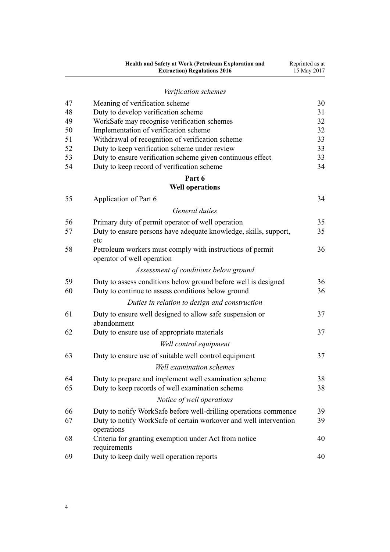|          | Health and Safety at Work (Petroleum Exploration and<br><b>Extraction) Regulations 2016</b>                          | Reprinted as at<br>15 May 2017 |
|----------|----------------------------------------------------------------------------------------------------------------------|--------------------------------|
|          | Verification schemes                                                                                                 |                                |
| 47       | Meaning of verification scheme                                                                                       | 30                             |
| 48       | Duty to develop verification scheme                                                                                  | 31                             |
| 49       | WorkSafe may recognise verification schemes                                                                          | 32                             |
| 50       | Implementation of verification scheme                                                                                | 32                             |
| 51       | Withdrawal of recognition of verification scheme                                                                     | 33                             |
| 52       | Duty to keep verification scheme under review                                                                        | 33                             |
| 53       | Duty to ensure verification scheme given continuous effect                                                           | 33                             |
| 54       | Duty to keep record of verification scheme                                                                           | 34                             |
|          | Part 6<br><b>Well operations</b>                                                                                     |                                |
|          |                                                                                                                      | 34                             |
| 55       | Application of Part 6                                                                                                |                                |
|          | General duties                                                                                                       |                                |
| 56       | Primary duty of permit operator of well operation                                                                    | 35                             |
| 57       | Duty to ensure persons have adequate knowledge, skills, support,<br>etc                                              | 35                             |
| 58       | Petroleum workers must comply with instructions of permit<br>operator of well operation                              | 36                             |
|          | Assessment of conditions below ground                                                                                |                                |
| 59<br>60 | Duty to assess conditions below ground before well is designed<br>Duty to continue to assess conditions below ground | 36<br>36                       |
|          | Duties in relation to design and construction                                                                        |                                |
| 61       | Duty to ensure well designed to allow safe suspension or<br>abandonment                                              | 37                             |
| 62       | Duty to ensure use of appropriate materials                                                                          | 37                             |
|          | Well control equipment                                                                                               |                                |
| 63       | Duty to ensure use of suitable well control equipment                                                                | 37                             |
|          | <b>Well examination schemes</b>                                                                                      |                                |
| 64       | Duty to prepare and implement well examination scheme                                                                | 38                             |
| 65       | Duty to keep records of well examination scheme                                                                      | 38                             |
|          | Notice of well operations                                                                                            |                                |
| 66       | Duty to notify WorkSafe before well-drilling operations commence                                                     | 39                             |
| 67       | Duty to notify WorkSafe of certain workover and well intervention<br>operations                                      | 39                             |
| 68       | Criteria for granting exemption under Act from notice<br>requirements                                                | 40                             |
| 69       | Duty to keep daily well operation reports                                                                            | 40                             |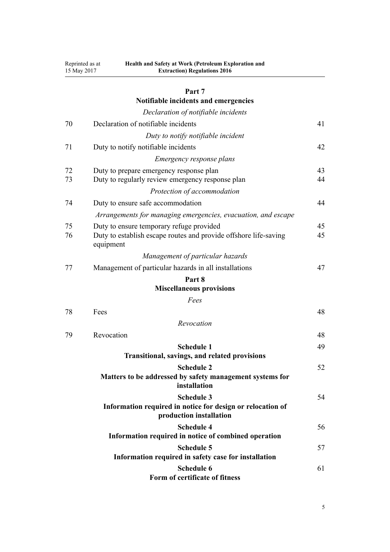| Reprinted as at | Health and Safety at Work (Petroleum Exploration and |
|-----------------|------------------------------------------------------|
| 15 May 2017     | <b>Extraction) Regulations 2016</b>                  |

# **[Part 7](#page-40-0)**

# **[Notifiable incidents and emergencies](#page-40-0)**

|          | Declaration of notifiable incidents                                                                                       |          |
|----------|---------------------------------------------------------------------------------------------------------------------------|----------|
| 70       | Declaration of notifiable incidents                                                                                       | 41       |
|          | Duty to notify notifiable incident                                                                                        |          |
| 71       | Duty to notify notifiable incidents                                                                                       | 42       |
|          | <i>Emergency response plans</i>                                                                                           |          |
| 72<br>73 | Duty to prepare emergency response plan<br>Duty to regularly review emergency response plan                               | 43<br>44 |
|          | Protection of accommodation                                                                                               |          |
| 74       | Duty to ensure safe accommodation                                                                                         | 44       |
|          | Arrangements for managing emergencies, evacuation, and escape                                                             |          |
| 75<br>76 | Duty to ensure temporary refuge provided<br>Duty to establish escape routes and provide offshore life-saving<br>equipment | 45<br>45 |
|          | Management of particular hazards                                                                                          |          |
| 77       | Management of particular hazards in all installations                                                                     | 47       |
|          | Part 8                                                                                                                    |          |
|          | <b>Miscellaneous provisions</b>                                                                                           |          |
|          | Fees                                                                                                                      |          |
| 78       | Fees                                                                                                                      | 48       |
|          | Revocation                                                                                                                |          |
| 79       | Revocation                                                                                                                | 48       |
|          | <b>Schedule 1</b><br>Transitional, savings, and related provisions                                                        | 49       |
|          | <b>Schedule 2</b><br>Matters to be addressed by safety management systems for<br>installation                             | 52       |
|          | <b>Schedule 3</b><br>Information required in notice for design or relocation of<br>production installation                | 54       |
|          | <b>Schedule 4</b><br>Information required in notice of combined operation                                                 | 56       |
|          | <b>Schedule 5</b><br>Information required in safety case for installation                                                 | 57       |
|          | <b>Schedule 6</b><br>Form of certificate of fitness                                                                       | 61       |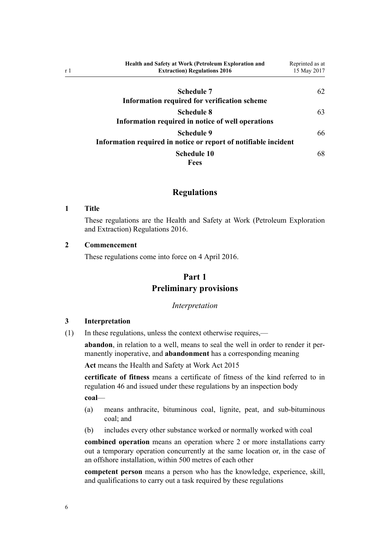<span id="page-5-0"></span>

| <b>Health and Safety at Work (Petroleum Exploration and</b><br><b>Extraction) Regulations 2016</b> | Reprinted as at<br>15 May 2017 |
|----------------------------------------------------------------------------------------------------|--------------------------------|
| <b>Schedule 7</b>                                                                                  | 62                             |
| Information required for verification scheme                                                       |                                |
| <b>Schedule 8</b><br>Information required in notice of well operations                             | 63                             |
| Schedule 9<br>Information required in notice or report of notifiable incident                      | 66                             |
| <b>Schedule 10</b><br>Fees                                                                         | 68                             |

## **Regulations**

#### **1 Title**

These regulations are the Health and Safety at Work (Petroleum Exploration and Extraction) Regulations 2016.

#### **2 Commencement**

These regulations come into force on 4 April 2016.

## **Part 1**

# **Preliminary provisions**

#### *Interpretation*

## **3 Interpretation**

(1) In these regulations, unless the context otherwise requires,—

**abandon**, in relation to a well, means to seal the well in order to render it permanently inoperative, and **abandonment** has a corresponding meaning

**Act** means the [Health and Safety at Work Act 2015](http://prd-lgnz-nlb.prd.pco.net.nz/pdflink.aspx?id=DLM5976602)

**certificate of fitness** means a certificate of fitness of the kind referred to in [regulation 46](#page-29-0) and issued under these regulations by an inspection body

**coal**—

- (a) means anthracite, bituminous coal, lignite, peat, and sub-bituminous coal; and
- (b) includes every other substance worked or normally worked with coal

**combined operation** means an operation where 2 or more installations carry out a temporary operation concurrently at the same location or, in the case of an offshore installation, within 500 metres of each other

**competent person** means a person who has the knowledge, experience, skill, and qualifications to carry out a task required by these regulations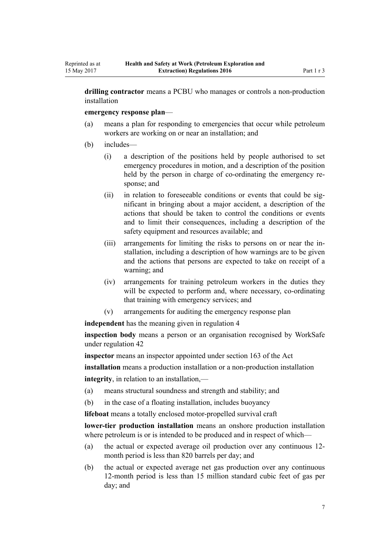**drilling contractor** means a PCBU who manages or controls a non-production installation

**emergency response plan**—

- (a) means a plan for responding to emergencies that occur while petroleum workers are working on or near an installation; and
- (b) includes—
	- (i) a description of the positions held by people authorised to set emergency procedures in motion, and a description of the position held by the person in charge of co-ordinating the emergency response; and
	- (ii) in relation to foreseeable conditions or events that could be significant in bringing about a major accident, a description of the actions that should be taken to control the conditions or events and to limit their consequences, including a description of the safety equipment and resources available; and
	- (iii) arrangements for limiting the risks to persons on or near the installation, including a description of how warnings are to be given and the actions that persons are expected to take on receipt of a warning; and
	- (iv) arrangements for training petroleum workers in the duties they will be expected to perform and, where necessary, co-ordinating that training with emergency services; and
	- (v) arrangements for auditing the emergency response plan

**independent** has the meaning given in [regulation 4](#page-10-0)

**inspection body** means a person or an organisation recognised by WorkSafe under [regulation 42](#page-28-0)

**inspector** means an inspector appointed under [section 163](http://prd-lgnz-nlb.prd.pco.net.nz/pdflink.aspx?id=DLM5977147) of the Act

**installation** means a production installation or a non-production installation

**integrity**, in relation to an installation,—

- (a) means structural soundness and strength and stability; and
- (b) in the case of a floating installation, includes buoyancy

**lifeboat** means a totally enclosed motor-propelled survival craft

**lower-tier production installation** means an onshore production installation where petroleum is or is intended to be produced and in respect of which—

- (a) the actual or expected average oil production over any continuous 12 month period is less than 820 barrels per day; and
- (b) the actual or expected average net gas production over any continuous 12-month period is less than 15 million standard cubic feet of gas per day; and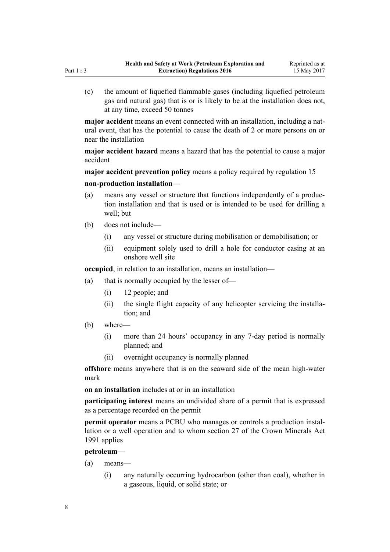(c) the amount of liquefied flammable gases (including liquefied petroleum gas and natural gas) that is or is likely to be at the installation does not, at any time, exceed 50 tonnes

**major accident** means an event connected with an installation, including a natural event, that has the potential to cause the death of 2 or more persons on or near the installation

**major accident hazard** means a hazard that has the potential to cause a major accident

**major accident prevention policy** means a policy required by [regulation 15](#page-14-0)

#### **non-production installation**—

- (a) means any vessel or structure that functions independently of a production installation and that is used or is intended to be used for drilling a well; but
- (b) does not include—
	- (i) any vessel or structure during mobilisation or demobilisation; or
	- (ii) equipment solely used to drill a hole for conductor casing at an onshore well site

**occupied**, in relation to an installation, means an installation—

- (a) that is normally occupied by the lesser of—
	- (i) 12 people; and
	- (ii) the single flight capacity of any helicopter servicing the installation; and
- (b) where—
	- (i) more than 24 hours' occupancy in any 7-day period is normally planned; and
	- (ii) overnight occupancy is normally planned

**offshore** means anywhere that is on the seaward side of the mean high-water mark

**on an installation** includes at or in an installation

**participating interest** means an undivided share of a permit that is expressed as a percentage recorded on the permit

**permit operator** means a PCBU who manages or controls a production installation or a well operation and to whom [section 27](http://prd-lgnz-nlb.prd.pco.net.nz/pdflink.aspx?id=DLM246334) of the Crown Minerals Act 1991 applies

#### **petroleum**—

- (a) means—
	- (i) any naturally occurring hydrocarbon (other than coal), whether in a gaseous, liquid, or solid state; or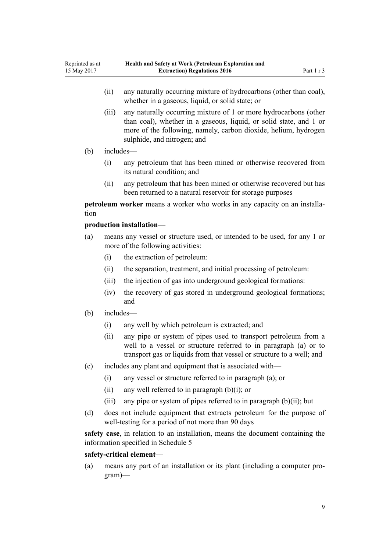- (ii) any naturally occurring mixture of hydrocarbons (other than coal), whether in a gaseous, liquid, or solid state; or
- (iii) any naturally occurring mixture of 1 or more hydrocarbons (other than coal), whether in a gaseous, liquid, or solid state, and 1 or more of the following, namely, carbon dioxide, helium, hydrogen sulphide, and nitrogen; and

#### (b) includes—

Reprinted as at 15 May 2017

- (i) any petroleum that has been mined or otherwise recovered from its natural condition; and
- (ii) any petroleum that has been mined or otherwise recovered but has been returned to a natural reservoir for storage purposes

**petroleum worker** means a worker who works in any capacity on an installation

## **production installation**—

- (a) means any vessel or structure used, or intended to be used, for any 1 or more of the following activities:
	- (i) the extraction of petroleum:
	- (ii) the separation, treatment, and initial processing of petroleum:
	- (iii) the injection of gas into underground geological formations:
	- (iv) the recovery of gas stored in underground geological formations; and
- (b) includes—
	- (i) any well by which petroleum is extracted; and
	- (ii) any pipe or system of pipes used to transport petroleum from a well to a vessel or structure referred to in paragraph (a) or to transport gas or liquids from that vessel or structure to a well; and
- (c) includes any plant and equipment that is associated with—
	- (i) any vessel or structure referred to in paragraph (a); or
	- (ii) any well referred to in paragraph  $(b)(i)$ ; or
	- (iii) any pipe or system of pipes referred to in paragraph  $(b)(ii)$ ; but
- (d) does not include equipment that extracts petroleum for the purpose of well-testing for a period of not more than 90 days

**safety case**, in relation to an installation, means the document containing the information specified in [Schedule 5](#page-56-0)

#### **safety-critical element**—

(a) means any part of an installation or its plant (including a computer program)—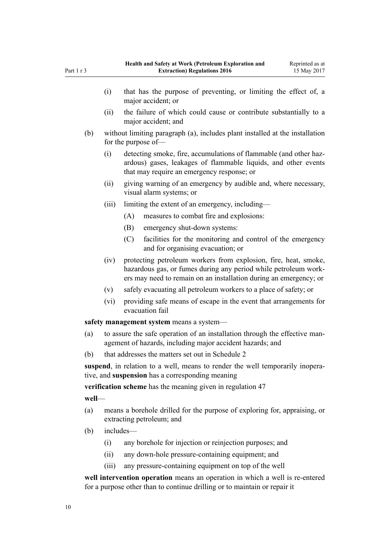- (i) that has the purpose of preventing, or limiting the effect of, a major accident; or (ii) the failure of which could cause or contribute substantially to a major accident; and (b) without limiting paragraph (a), includes plant installed at the installation for the purpose of— (i) detecting smoke, fire, accumulations of flammable (and other hazardous) gases, leakages of flammable liquids, and other events that may require an emergency response; or (ii) giving warning of an emergency by audible and, where necessary, visual alarm systems; or (iii) limiting the extent of an emergency, including— (A) measures to combat fire and explosions: (B) emergency shut-down systems: (C) facilities for the monitoring and control of the emergency and for organising evacuation; or (iv) protecting petroleum workers from explosion, fire, heat, smoke, hazardous gas, or fumes during any period while petroleum workers may need to remain on an installation during an emergency; or (v) safely evacuating all petroleum workers to a place of safety; or (vi) providing safe means of escape in the event that arrangements for evacuation fail safety management system means a system-(a) to assure the safe operation of an installation through the effective management of hazards, including major accident hazards; and (b) that addresses the matters set out in [Schedule 2](#page-51-0) **suspend**, in relation to a well, means to render the well temporarily inoperative, and **suspension** has a corresponding meaning **verification scheme** has the meaning given in [regulation 47](#page-29-0) **well**—
	- (a) means a borehole drilled for the purpose of exploring for, appraising, or extracting petroleum; and
	- (b) includes—
		- (i) any borehole for injection or reinjection purposes; and
		- (ii) any down-hole pressure-containing equipment; and
		- (iii) any pressure-containing equipment on top of the well

**well intervention operation** means an operation in which a well is re-entered for a purpose other than to continue drilling or to maintain or repair it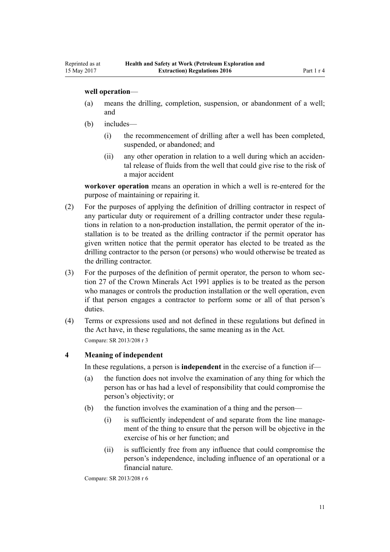### <span id="page-10-0"></span>**well operation**—

- (a) means the drilling, completion, suspension, or abandonment of a well; and
- (b) includes—
	- (i) the recommencement of drilling after a well has been completed, suspended, or abandoned; and
	- (ii) any other operation in relation to a well during which an accidental release of fluids from the well that could give rise to the risk of a major accident

**workover operation** means an operation in which a well is re-entered for the purpose of maintaining or repairing it.

- (2) For the purposes of applying the definition of drilling contractor in respect of any particular duty or requirement of a drilling contractor under these regulations in relation to a non-production installation, the permit operator of the installation is to be treated as the drilling contractor if the permit operator has given written notice that the permit operator has elected to be treated as the drilling contractor to the person (or persons) who would otherwise be treated as the drilling contractor.
- (3) For the purposes of the definition of permit operator, the person to whom [sec](http://prd-lgnz-nlb.prd.pco.net.nz/pdflink.aspx?id=DLM246334)[tion 27](http://prd-lgnz-nlb.prd.pco.net.nz/pdflink.aspx?id=DLM246334) of the Crown Minerals Act 1991 applies is to be treated as the person who manages or controls the production installation or the well operation, even if that person engages a contractor to perform some or all of that person's duties.
- (4) Terms or expressions used and not defined in these regulations but defined in the Act have, in these regulations, the same meaning as in the Act. Compare: SR 2013/208 [r 3](http://prd-lgnz-nlb.prd.pco.net.nz/pdflink.aspx?id=DLM5202538)

# **4 Meaning of independent**

In these regulations, a person is **independent** in the exercise of a function if—

- (a) the function does not involve the examination of any thing for which the person has or has had a level of responsibility that could compromise the person's objectivity; or
- (b) the function involves the examination of a thing and the person—
	- (i) is sufficiently independent of and separate from the line management of the thing to ensure that the person will be objective in the exercise of his or her function; and
	- (ii) is sufficiently free from any influence that could compromise the person's independence, including influence of an operational or a financial nature.

Compare: SR 2013/208 [r 6](http://prd-lgnz-nlb.prd.pco.net.nz/pdflink.aspx?id=DLM5202513)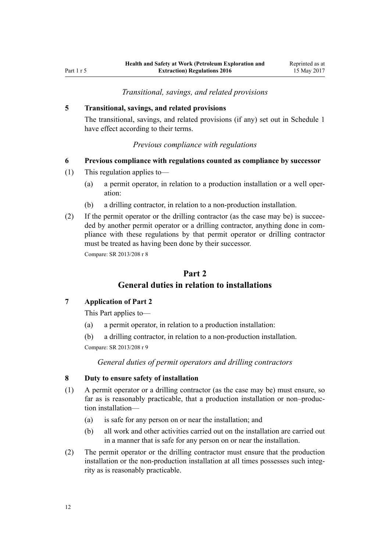## *Transitional, savings, and related provisions*

#### <span id="page-11-0"></span>**5 Transitional, savings, and related provisions**

The transitional, savings, and related provisions (if any) set out in [Schedule 1](#page-48-0) have effect according to their terms.

#### *Previous compliance with regulations*

## **6 Previous compliance with regulations counted as compliance by successor**

- (1) This regulation applies to—
	- (a) a permit operator, in relation to a production installation or a well operation:
	- (b) a drilling contractor, in relation to a non-production installation.
- (2) If the permit operator or the drilling contractor (as the case may be) is succeeded by another permit operator or a drilling contractor, anything done in compliance with these regulations by that permit operator or drilling contractor must be treated as having been done by their successor.

Compare: SR 2013/208 [r 8](http://prd-lgnz-nlb.prd.pco.net.nz/pdflink.aspx?id=DLM5203546)

# **Part 2**

# **General duties in relation to installations**

# **7 Application of Part 2**

This Part applies to—

- (a) a permit operator, in relation to a production installation:
- (b) a drilling contractor, in relation to a non-production installation.

Compare: SR 2013/208 [r 9](http://prd-lgnz-nlb.prd.pco.net.nz/pdflink.aspx?id=DLM5203750)

*General duties of permit operators and drilling contractors*

#### **8 Duty to ensure safety of installation**

- (1) A permit operator or a drilling contractor (as the case may be) must ensure, so far as is reasonably practicable, that a production installation or non–production installation—
	- (a) is safe for any person on or near the installation; and
	- (b) all work and other activities carried out on the installation are carried out in a manner that is safe for any person on or near the installation.
- (2) The permit operator or the drilling contractor must ensure that the production installation or the non-production installation at all times possesses such integrity as is reasonably practicable.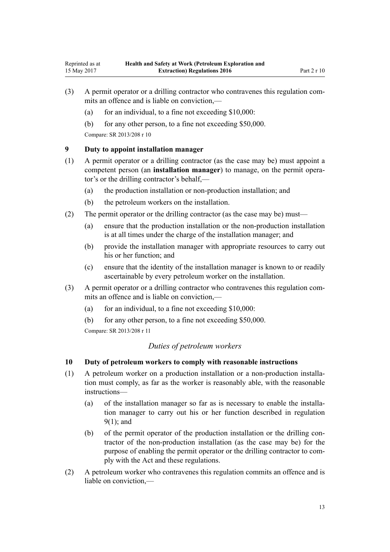- (3) A permit operator or a drilling contractor who contravenes this regulation commits an offence and is liable on conviction,—
	- (a) for an individual, to a fine not exceeding  $$10,000$ :
	- (b) for any other person, to a fine not exceeding \$50,000.

<span id="page-12-0"></span>Reprinted as at 15 May 2017

## **9 Duty to appoint installation manager**

- (1) A permit operator or a drilling contractor (as the case may be) must appoint a competent person (an **installation manager**) to manage, on the permit operator's or the drilling contractor's behalf,—
	- (a) the production installation or non-production installation; and
	- (b) the petroleum workers on the installation.
- (2) The permit operator or the drilling contractor (as the case may be) must—
	- (a) ensure that the production installation or the non-production installation is at all times under the charge of the installation manager; and
	- (b) provide the installation manager with appropriate resources to carry out his or her function; and
	- (c) ensure that the identity of the installation manager is known to or readily ascertainable by every petroleum worker on the installation.
- (3) A permit operator or a drilling contractor who contravenes this regulation commits an offence and is liable on conviction,—
	- (a) for an individual, to a fine not exceeding  $$10,000$ :
	- (b) for any other person, to a fine not exceeding \$50,000.

Compare: SR 2013/208 [r 11](http://prd-lgnz-nlb.prd.pco.net.nz/pdflink.aspx?id=DLM5202528)

# *Duties of petroleum workers*

# **10 Duty of petroleum workers to comply with reasonable instructions**

- (1) A petroleum worker on a production installation or a non-production installation must comply, as far as the worker is reasonably able, with the reasonable instructions—
	- (a) of the installation manager so far as is necessary to enable the installation manager to carry out his or her function described in regulation 9(1); and
	- (b) of the permit operator of the production installation or the drilling contractor of the non-production installation (as the case may be) for the purpose of enabling the permit operator or the drilling contractor to comply with the Act and these regulations.
- (2) A petroleum worker who contravenes this regulation commits an offence and is liable on conviction,—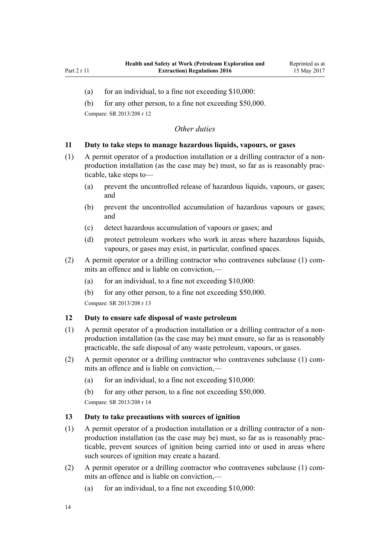- <span id="page-13-0"></span>(a) for an individual, to a fine not exceeding  $$10,000$ :
- (b) for any other person, to a fine not exceeding \$50,000.

# *Other duties*

#### **11 Duty to take steps to manage hazardous liquids, vapours, or gases**

- (1) A permit operator of a production installation or a drilling contractor of a nonproduction installation (as the case may be) must, so far as is reasonably practicable, take steps to—
	- (a) prevent the uncontrolled release of hazardous liquids, vapours, or gases; and
	- (b) prevent the uncontrolled accumulation of hazardous vapours or gases; and
	- (c) detect hazardous accumulation of vapours or gases; and
	- (d) protect petroleum workers who work in areas where hazardous liquids, vapours, or gases may exist, in particular, confined spaces.
- (2) A permit operator or a drilling contractor who contravenes subclause (1) commits an offence and is liable on conviction,—
	- (a) for an individual, to a fine not exceeding  $$10,000$ :
	- (b) for any other person, to a fine not exceeding \$50,000.

Compare: SR 2013/208 [r 13](http://prd-lgnz-nlb.prd.pco.net.nz/pdflink.aspx?id=DLM5203348)

#### **12 Duty to ensure safe disposal of waste petroleum**

- (1) A permit operator of a production installation or a drilling contractor of a nonproduction installation (as the case may be) must ensure, so far as is reasonably practicable, the safe disposal of any waste petroleum, vapours, or gases.
- (2) A permit operator or a drilling contractor who contravenes subclause (1) commits an offence and is liable on conviction,—
	- (a) for an individual, to a fine not exceeding  $$10,000$ :
	- (b) for any other person, to a fine not exceeding \$50,000.

Compare: SR 2013/208 [r 14](http://prd-lgnz-nlb.prd.pco.net.nz/pdflink.aspx?id=DLM5203350)

#### **13 Duty to take precautions with sources of ignition**

- (1) A permit operator of a production installation or a drilling contractor of a nonproduction installation (as the case may be) must, so far as is reasonably practicable, prevent sources of ignition being carried into or used in areas where such sources of ignition may create a hazard.
- (2) A permit operator or a drilling contractor who contravenes subclause (1) commits an offence and is liable on conviction,—
	- (a) for an individual, to a fine not exceeding  $$10,000$ :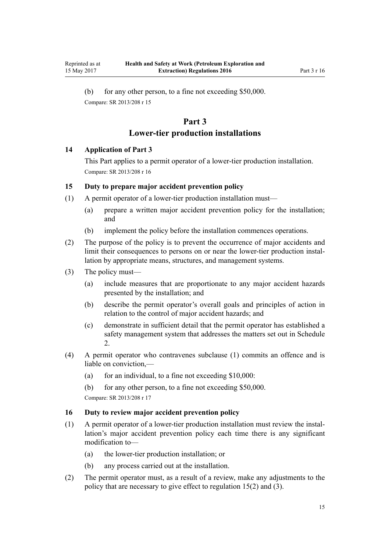<span id="page-14-0"></span>(b) for any other person, to a fine not exceeding \$50,000. Compare: SR 2013/208 [r 15](http://prd-lgnz-nlb.prd.pco.net.nz/pdflink.aspx?id=DLM5203352)

# **Part 3**

# **Lower-tier production installations**

## **14 Application of Part 3**

This Part applies to a permit operator of a lower-tier production installation. Compare: SR 2013/208 [r 16](http://prd-lgnz-nlb.prd.pco.net.nz/pdflink.aspx?id=DLM5203752)

## **15 Duty to prepare major accident prevention policy**

- (1) A permit operator of a lower-tier production installation must—
	- (a) prepare a written major accident prevention policy for the installation; and
	- (b) implement the policy before the installation commences operations.
- (2) The purpose of the policy is to prevent the occurrence of major accidents and limit their consequences to persons on or near the lower-tier production installation by appropriate means, structures, and management systems.
- (3) The policy must—
	- (a) include measures that are proportionate to any major accident hazards presented by the installation; and
	- (b) describe the permit operator's overall goals and principles of action in relation to the control of major accident hazards; and
	- (c) demonstrate in sufficient detail that the permit operator has established a safety management system that addresses the matters set out in [Schedule](#page-51-0)  $\mathcal{L}$
- (4) A permit operator who contravenes subclause (1) commits an offence and is liable on conviction,—
	- (a) for an individual, to a fine not exceeding  $$10,000$ :
	- (b) for any other person, to a fine not exceeding \$50,000.

Compare: SR 2013/208 [r 17](http://prd-lgnz-nlb.prd.pco.net.nz/pdflink.aspx?id=DLM5202517)

# **16 Duty to review major accident prevention policy**

- (1) A permit operator of a lower-tier production installation must review the installation's major accident prevention policy each time there is any significant modification to—
	- (a) the lower-tier production installation; or
	- (b) any process carried out at the installation.
- (2) The permit operator must, as a result of a review, make any adjustments to the policy that are necessary to give effect to regulation 15(2) and (3).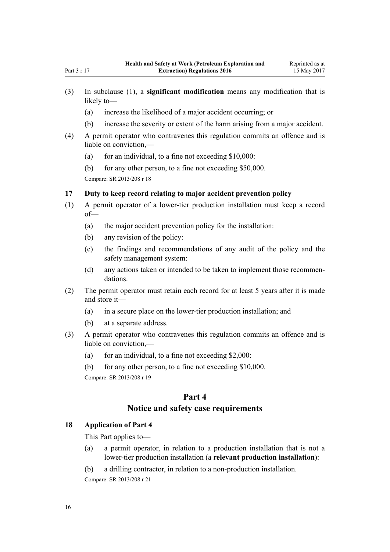- <span id="page-15-0"></span>(a) increase the likelihood of a major accident occurring; or
- (b) increase the severity or extent of the harm arising from a major accident.
- (4) A permit operator who contravenes this regulation commits an offence and is liable on conviction,—
	- (a) for an individual, to a fine not exceeding  $$10,000$ :
	- (b) for any other person, to a fine not exceeding \$50,000.

## **17 Duty to keep record relating to major accident prevention policy**

- (1) A permit operator of a lower-tier production installation must keep a record of—
	- (a) the major accident prevention policy for the installation:
	- (b) any revision of the policy:
	- (c) the findings and recommendations of any audit of the policy and the safety management system:
	- (d) any actions taken or intended to be taken to implement those recommendations.
- (2) The permit operator must retain each record for at least 5 years after it is made and store it—
	- (a) in a secure place on the lower-tier production installation; and
	- (b) at a separate address.
- (3) A permit operator who contravenes this regulation commits an offence and is liable on conviction,—
	- (a) for an individual, to a fine not exceeding  $$2,000$ :
	- (b) for any other person, to a fine not exceeding \$10,000.

Compare: SR 2013/208 [r 19](http://prd-lgnz-nlb.prd.pco.net.nz/pdflink.aspx?id=DLM5203357)

# **Part 4**

# **Notice and safety case requirements**

# **18 Application of Part 4**

This Part applies to—

- (a) a permit operator, in relation to a production installation that is not a lower-tier production installation (a **relevant production installation**):
- (b) a drilling contractor, in relation to a non-production installation.

Compare: SR 2013/208 [r 21](http://prd-lgnz-nlb.prd.pco.net.nz/pdflink.aspx?id=DLM5203756)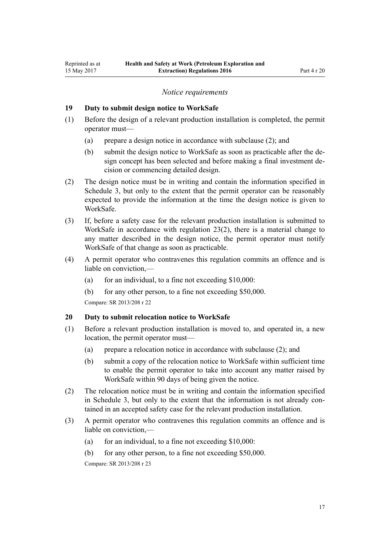#### *Notice requirements*

#### <span id="page-16-0"></span>**19 Duty to submit design notice to WorkSafe**

- (1) Before the design of a relevant production installation is completed, the permit operator must—
	- (a) prepare a design notice in accordance with subclause (2); and
	- (b) submit the design notice to WorkSafe as soon as practicable after the design concept has been selected and before making a final investment decision or commencing detailed design.
- (2) The design notice must be in writing and contain the information specified in [Schedule 3](#page-53-0), but only to the extent that the permit operator can be reasonably expected to provide the information at the time the design notice is given to WorkSafe.
- (3) If, before a safety case for the relevant production installation is submitted to WorkSafe in accordance with [regulation 23\(2\),](#page-18-0) there is a material change to any matter described in the design notice, the permit operator must notify WorkSafe of that change as soon as practicable.
- (4) A permit operator who contravenes this regulation commits an offence and is liable on conviction,—
	- (a) for an individual, to a fine not exceeding  $$10,000$ :
	- (b) for any other person, to a fine not exceeding \$50,000.

Compare: SR 2013/208 [r 22](http://prd-lgnz-nlb.prd.pco.net.nz/pdflink.aspx?id=DLM5202577)

#### **20 Duty to submit relocation notice to WorkSafe**

- (1) Before a relevant production installation is moved to, and operated in, a new location, the permit operator must—
	- (a) prepare a relocation notice in accordance with subclause (2); and
	- (b) submit a copy of the relocation notice to WorkSafe within sufficient time to enable the permit operator to take into account any matter raised by WorkSafe within 90 days of being given the notice.
- (2) The relocation notice must be in writing and contain the information specified in [Schedule 3](#page-53-0), but only to the extent that the information is not already contained in an accepted safety case for the relevant production installation.
- (3) A permit operator who contravenes this regulation commits an offence and is liable on conviction,—
	- (a) for an individual, to a fine not exceeding  $$10,000$ :
	- (b) for any other person, to a fine not exceeding \$50,000.

Compare: SR 2013/208 [r 23](http://prd-lgnz-nlb.prd.pco.net.nz/pdflink.aspx?id=DLM5203360)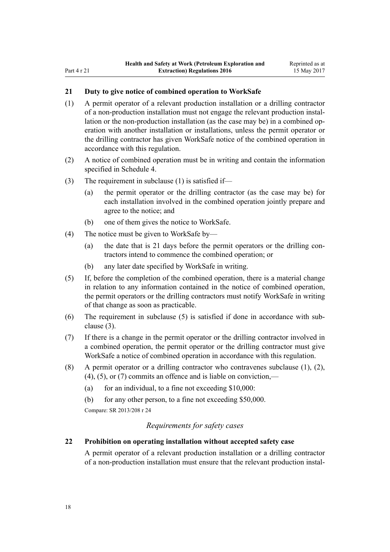# <span id="page-17-0"></span>**21 Duty to give notice of combined operation to WorkSafe**

- (1) A permit operator of a relevant production installation or a drilling contractor of a non-production installation must not engage the relevant production installation or the non-production installation (as the case may be) in a combined operation with another installation or installations, unless the permit operator or the drilling contractor has given WorkSafe notice of the combined operation in accordance with this regulation.
- (2) A notice of combined operation must be in writing and contain the information specified in [Schedule 4](#page-55-0).
- (3) The requirement in subclause (1) is satisfied if—
	- (a) the permit operator or the drilling contractor (as the case may be) for each installation involved in the combined operation jointly prepare and agree to the notice; and
	- (b) one of them gives the notice to WorkSafe.
- (4) The notice must be given to WorkSafe by—
	- (a) the date that is 21 days before the permit operators or the drilling contractors intend to commence the combined operation; or
	- (b) any later date specified by WorkSafe in writing.
- (5) If, before the completion of the combined operation, there is a material change in relation to any information contained in the notice of combined operation, the permit operators or the drilling contractors must notify WorkSafe in writing of that change as soon as practicable.
- (6) The requirement in subclause (5) is satisfied if done in accordance with subclause (3).
- (7) If there is a change in the permit operator or the drilling contractor involved in a combined operation, the permit operator or the drilling contractor must give WorkSafe a notice of combined operation in accordance with this regulation.
- (8) A permit operator or a drilling contractor who contravenes subclause (1), (2),  $(4)$ ,  $(5)$ , or  $(7)$  commits an offence and is liable on conviction,—
	- (a) for an individual, to a fine not exceeding  $$10,000$ :
	- (b) for any other person, to a fine not exceeding \$50,000.

Compare: SR 2013/208 [r 24](http://prd-lgnz-nlb.prd.pco.net.nz/pdflink.aspx?id=DLM5202591)

#### *Requirements for safety cases*

# **22 Prohibition on operating installation without accepted safety case**

A permit operator of a relevant production installation or a drilling contractor of a non-production installation must ensure that the relevant production instal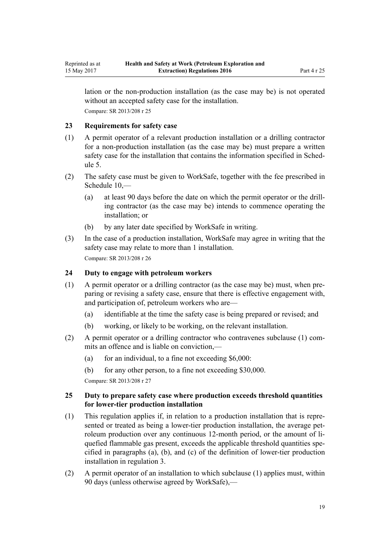<span id="page-18-0"></span>lation or the non-production installation (as the case may be) is not operated without an accepted safety case for the installation. Compare: SR 2013/208 [r 25](http://prd-lgnz-nlb.prd.pco.net.nz/pdflink.aspx?id=DLM5202580)

## **23 Requirements for safety case**

- (1) A permit operator of a relevant production installation or a drilling contractor for a non-production installation (as the case may be) must prepare a written safety case for the installation that contains the information specified in [Sched](#page-56-0)[ule 5.](#page-56-0)
- (2) The safety case must be given to WorkSafe, together with the fee prescribed in Schedule  $10$  —
	- (a) at least 90 days before the date on which the permit operator or the drilling contractor (as the case may be) intends to commence operating the installation; or
	- (b) by any later date specified by WorkSafe in writing.
- (3) In the case of a production installation, WorkSafe may agree in writing that the safety case may relate to more than 1 installation. Compare: SR 2013/208 [r 26](http://prd-lgnz-nlb.prd.pco.net.nz/pdflink.aspx?id=DLM5202531)

## **24 Duty to engage with petroleum workers**

- (1) A permit operator or a drilling contractor (as the case may be) must, when preparing or revising a safety case, ensure that there is effective engagement with, and participation of, petroleum workers who are—
	- (a) identifiable at the time the safety case is being prepared or revised; and
	- (b) working, or likely to be working, on the relevant installation.
- (2) A permit operator or a drilling contractor who contravenes subclause (1) commits an offence and is liable on conviction,—
	- (a) for an individual, to a fine not exceeding  $$6,000$ :
	- (b) for any other person, to a fine not exceeding \$30,000.

Compare: SR 2013/208 [r 27](http://prd-lgnz-nlb.prd.pco.net.nz/pdflink.aspx?id=DLM5202540)

## **25 Duty to prepare safety case where production exceeds threshold quantities for lower-tier production installation**

- (1) This regulation applies if, in relation to a production installation that is represented or treated as being a lower-tier production installation, the average petroleum production over any continuous 12-month period, or the amount of liquefied flammable gas present, exceeds the applicable threshold quantities specified in paragraphs (a), (b), and (c) of the definition of lower-tier production installation in [regulation 3](#page-5-0).
- (2) A permit operator of an installation to which subclause (1) applies must, within 90 days (unless otherwise agreed by WorkSafe),—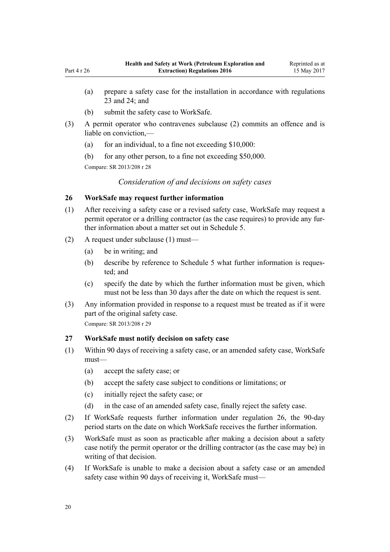- <span id="page-19-0"></span>(a) prepare a safety case for the installation in accordance with [regulations](#page-18-0) [23](#page-18-0) and [24;](#page-18-0) and
- (b) submit the safety case to WorkSafe.
- (3) A permit operator who contravenes subclause (2) commits an offence and is liable on conviction,—
	- (a) for an individual, to a fine not exceeding  $$10,000$ :
	- (b) for any other person, to a fine not exceeding \$50,000.

*Consideration of and decisions on safety cases*

#### **26 WorkSafe may request further information**

- (1) After receiving a safety case or a revised safety case, WorkSafe may request a permit operator or a drilling contractor (as the case requires) to provide any further information about a matter set out in [Schedule 5.](#page-56-0)
- (2) A request under subclause (1) must—
	- (a) be in writing; and
	- (b) describe by reference to [Schedule 5](#page-56-0) what further information is requested; and
	- (c) specify the date by which the further information must be given, which must not be less than 30 days after the date on which the request is sent.
- (3) Any information provided in response to a request must be treated as if it were part of the original safety case.

Compare: SR 2013/208 [r 29](http://prd-lgnz-nlb.prd.pco.net.nz/pdflink.aspx?id=DLM5202545)

#### **27 WorkSafe must notify decision on safety case**

- (1) Within 90 days of receiving a safety case, or an amended safety case, WorkSafe must—
	- (a) accept the safety case; or
	- (b) accept the safety case subject to conditions or limitations; or
	- (c) initially reject the safety case; or
	- (d) in the case of an amended safety case, finally reject the safety case.
- (2) If WorkSafe requests further information under regulation 26, the 90-day period starts on the date on which WorkSafe receives the further information.
- (3) WorkSafe must as soon as practicable after making a decision about a safety case notify the permit operator or the drilling contractor (as the case may be) in writing of that decision.
- (4) If WorkSafe is unable to make a decision about a safety case or an amended safety case within 90 days of receiving it, WorkSafe must—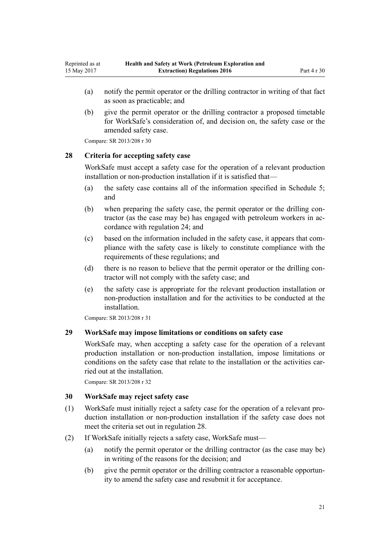- <span id="page-20-0"></span>(a) notify the permit operator or the drilling contractor in writing of that fact as soon as practicable; and
- (b) give the permit operator or the drilling contractor a proposed timetable for WorkSafe's consideration of, and decision on, the safety case or the amended safety case.

#### **28 Criteria for accepting safety case**

WorkSafe must accept a safety case for the operation of a relevant production installation or non-production installation if it is satisfied that—

- (a) the safety case contains all of the information specified in [Schedule 5;](#page-56-0) and
- (b) when preparing the safety case, the permit operator or the drilling contractor (as the case may be) has engaged with petroleum workers in accordance with [regulation 24;](#page-18-0) and
- (c) based on the information included in the safety case, it appears that compliance with the safety case is likely to constitute compliance with the requirements of these regulations; and
- (d) there is no reason to believe that the permit operator or the drilling contractor will not comply with the safety case; and
- (e) the safety case is appropriate for the relevant production installation or non-production installation and for the activities to be conducted at the installation.

Compare: SR 2013/208 [r 31](http://prd-lgnz-nlb.prd.pco.net.nz/pdflink.aspx?id=DLM5202549)

## **29 WorkSafe may impose limitations or conditions on safety case**

WorkSafe may, when accepting a safety case for the operation of a relevant production installation or non-production installation, impose limitations or conditions on the safety case that relate to the installation or the activities carried out at the installation.

Compare: SR 2013/208 [r 32](http://prd-lgnz-nlb.prd.pco.net.nz/pdflink.aspx?id=DLM5202552)

#### **30 WorkSafe may reject safety case**

- (1) WorkSafe must initially reject a safety case for the operation of a relevant production installation or non-production installation if the safety case does not meet the criteria set out in regulation 28.
- (2) If WorkSafe initially rejects a safety case, WorkSafe must—
	- (a) notify the permit operator or the drilling contractor (as the case may be) in writing of the reasons for the decision; and
	- (b) give the permit operator or the drilling contractor a reasonable opportunity to amend the safety case and resubmit it for acceptance.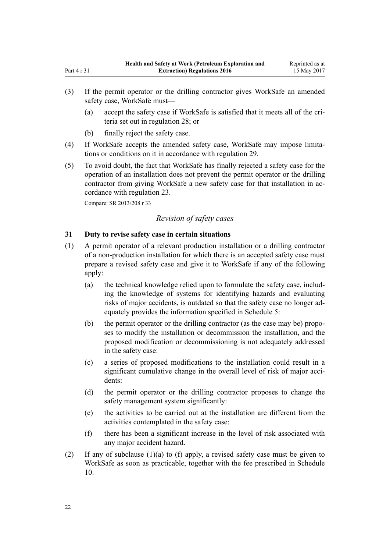- <span id="page-21-0"></span>(3) If the permit operator or the drilling contractor gives WorkSafe an amended safety case, WorkSafe must—
	- (a) accept the safety case if WorkSafe is satisfied that it meets all of the criteria set out in [regulation 28;](#page-20-0) or
	- (b) finally reject the safety case.
- (4) If WorkSafe accepts the amended safety case, WorkSafe may impose limitations or conditions on it in accordance with [regulation 29](#page-20-0).
- (5) To avoid doubt, the fact that WorkSafe has finally rejected a safety case for the operation of an installation does not prevent the permit operator or the drilling contractor from giving WorkSafe a new safety case for that installation in accordance with [regulation 23.](#page-18-0)

## *Revision of safety cases*

## **31 Duty to revise safety case in certain situations**

- (1) A permit operator of a relevant production installation or a drilling contractor of a non-production installation for which there is an accepted safety case must prepare a revised safety case and give it to WorkSafe if any of the following apply:
	- (a) the technical knowledge relied upon to formulate the safety case, including the knowledge of systems for identifying hazards and evaluating risks of major accidents, is outdated so that the safety case no longer adequately provides the information specified in [Schedule 5:](#page-56-0)
	- (b) the permit operator or the drilling contractor (as the case may be) proposes to modify the installation or decommission the installation, and the proposed modification or decommissioning is not adequately addressed in the safety case:
	- (c) a series of proposed modifications to the installation could result in a significant cumulative change in the overall level of risk of major accidents:
	- (d) the permit operator or the drilling contractor proposes to change the safety management system significantly:
	- (e) the activities to be carried out at the installation are different from the activities contemplated in the safety case:
	- (f) there has been a significant increase in the level of risk associated with any major accident hazard.
- (2) If any of subclause (1)(a) to (f) apply, a revised safety case must be given to WorkSafe as soon as practicable, together with the fee prescribed in [Schedule](#page-67-0) [10.](#page-67-0)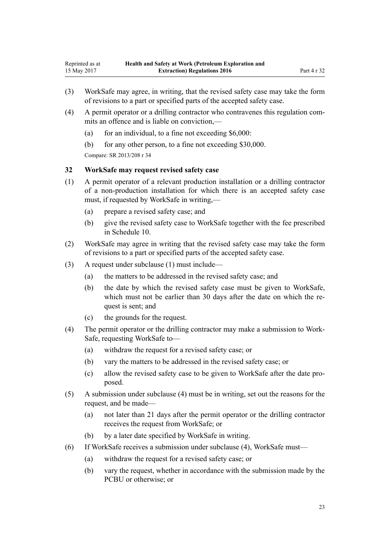- <span id="page-22-0"></span>(3) WorkSafe may agree, in writing, that the revised safety case may take the form of revisions to a part or specified parts of the accepted safety case.
- (4) A permit operator or a drilling contractor who contravenes this regulation commits an offence and is liable on conviction.—
	- (a) for an individual, to a fine not exceeding  $$6,000$ :
	- (b) for any other person, to a fine not exceeding \$30,000.

#### **32 WorkSafe may request revised safety case**

- (1) A permit operator of a relevant production installation or a drilling contractor of a non-production installation for which there is an accepted safety case must, if requested by WorkSafe in writing,—
	- (a) prepare a revised safety case; and
	- (b) give the revised safety case to WorkSafe together with the fee prescribed in [Schedule 10.](#page-67-0)
- (2) WorkSafe may agree in writing that the revised safety case may take the form of revisions to a part or specified parts of the accepted safety case.
- (3) A request under subclause (1) must include—
	- (a) the matters to be addressed in the revised safety case; and
	- (b) the date by which the revised safety case must be given to WorkSafe, which must not be earlier than 30 days after the date on which the request is sent; and
	- (c) the grounds for the request.
- (4) The permit operator or the drilling contractor may make a submission to Work-Safe, requesting WorkSafe to—
	- (a) withdraw the request for a revised safety case; or
	- (b) vary the matters to be addressed in the revised safety case; or
	- (c) allow the revised safety case to be given to WorkSafe after the date proposed.
- (5) A submission under subclause (4) must be in writing, set out the reasons for the request, and be made—
	- (a) not later than 21 days after the permit operator or the drilling contractor receives the request from WorkSafe; or
	- (b) by a later date specified by WorkSafe in writing.
- (6) If WorkSafe receives a submission under subclause (4), WorkSafe must—
	- (a) withdraw the request for a revised safety case; or
	- (b) vary the request, whether in accordance with the submission made by the PCBU or otherwise; or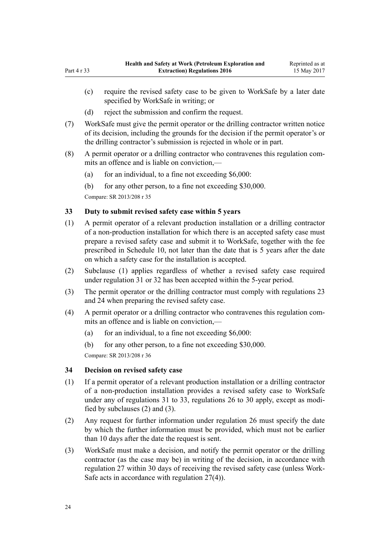- <span id="page-23-0"></span>(c) require the revised safety case to be given to WorkSafe by a later date specified by WorkSafe in writing; or
- (d) reject the submission and confirm the request.
- (7) WorkSafe must give the permit operator or the drilling contractor written notice of its decision, including the grounds for the decision if the permit operator's or the drilling contractor's submission is rejected in whole or in part.
- (8) A permit operator or a drilling contractor who contravenes this regulation commits an offence and is liable on conviction,—
	- (a) for an individual, to a fine not exceeding  $$6,000$ :
	- (b) for any other person, to a fine not exceeding \$30,000.

## **33 Duty to submit revised safety case within 5 years**

- (1) A permit operator of a relevant production installation or a drilling contractor of a non-production installation for which there is an accepted safety case must prepare a revised safety case and submit it to WorkSafe, together with the fee prescribed in [Schedule 10,](#page-67-0) not later than the date that is 5 years after the date on which a safety case for the installation is accepted.
- (2) Subclause (1) applies regardless of whether a revised safety case required under [regulation 31](#page-21-0) or [32](#page-22-0) has been accepted within the 5-year period.
- (3) The permit operator or the drilling contractor must comply with [regulations 23](#page-18-0) and [24](#page-18-0) when preparing the revised safety case.
- (4) A permit operator or a drilling contractor who contravenes this regulation commits an offence and is liable on conviction,—
	- (a) for an individual, to a fine not exceeding  $$6,000$ :
	- (b) for any other person, to a fine not exceeding \$30,000.

Compare: SR 2013/208 [r 36](http://prd-lgnz-nlb.prd.pco.net.nz/pdflink.aspx?id=DLM5202560)

#### **34 Decision on revised safety case**

- (1) If a permit operator of a relevant production installation or a drilling contractor of a non-production installation provides a revised safety case to WorkSafe under any of [regulations 31 to 33](#page-21-0), [regulations 26 to 30](#page-19-0) apply, except as modified by subclauses (2) and (3).
- (2) Any request for further information under [regulation 26](#page-19-0) must specify the date by which the further information must be provided, which must not be earlier than 10 days after the date the request is sent.
- (3) WorkSafe must make a decision, and notify the permit operator or the drilling contractor (as the case may be) in writing of the decision, in accordance with [regulation 27](#page-19-0) within 30 days of receiving the revised safety case (unless Work-Safe acts in accordance with regulation 27(4)).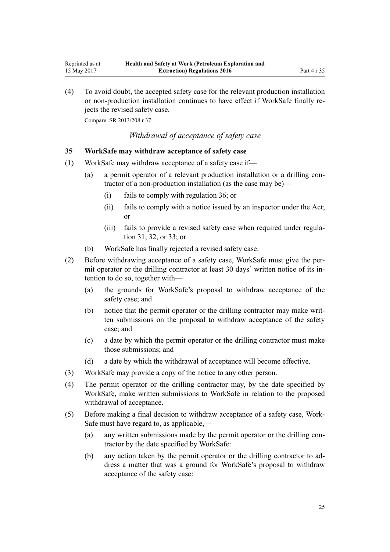(4) To avoid doubt, the accepted safety case for the relevant production installation or non-production installation continues to have effect if WorkSafe finally rejects the revised safety case.

Compare: SR 2013/208 [r 37](http://prd-lgnz-nlb.prd.pco.net.nz/pdflink.aspx?id=DLM5203762)

<span id="page-24-0"></span>Reprinted as at 15 May 2017

*Withdrawal of acceptance of safety case*

#### **35 WorkSafe may withdraw acceptance of safety case**

- (1) WorkSafe may withdraw acceptance of a safety case if—
	- (a) a permit operator of a relevant production installation or a drilling contractor of a non-production installation (as the case may be)—
		- (i) fails to comply with [regulation 36](#page-25-0); or
		- (ii) fails to comply with a notice issued by an inspector under the Act; or
		- (iii) fails to provide a revised safety case when required under [regula](#page-21-0)[tion 31](#page-21-0), [32,](#page-22-0) or [33](#page-23-0); or
	- (b) WorkSafe has finally rejected a revised safety case.
- (2) Before withdrawing acceptance of a safety case, WorkSafe must give the permit operator or the drilling contractor at least 30 days' written notice of its intention to do so, together with—
	- (a) the grounds for WorkSafe's proposal to withdraw acceptance of the safety case; and
	- (b) notice that the permit operator or the drilling contractor may make written submissions on the proposal to withdraw acceptance of the safety case; and
	- (c) a date by which the permit operator or the drilling contractor must make those submissions; and
	- (d) a date by which the withdrawal of acceptance will become effective.
- (3) WorkSafe may provide a copy of the notice to any other person.
- (4) The permit operator or the drilling contractor may, by the date specified by WorkSafe, make written submissions to WorkSafe in relation to the proposed withdrawal of acceptance.
- (5) Before making a final decision to withdraw acceptance of a safety case, Work-Safe must have regard to, as applicable,—
	- (a) any written submissions made by the permit operator or the drilling contractor by the date specified by WorkSafe:
	- (b) any action taken by the permit operator or the drilling contractor to address a matter that was a ground for WorkSafe's proposal to withdraw acceptance of the safety case: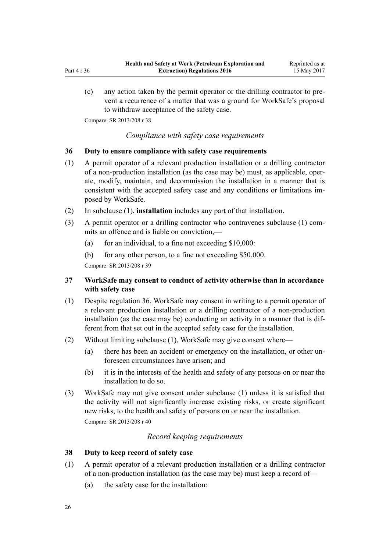<span id="page-25-0"></span>(c) any action taken by the permit operator or the drilling contractor to prevent a recurrence of a matter that was a ground for WorkSafe's proposal to withdraw acceptance of the safety case.

Compare: SR 2013/208 [r 38](http://prd-lgnz-nlb.prd.pco.net.nz/pdflink.aspx?id=DLM5203764)

*Compliance with safety case requirements*

#### **36 Duty to ensure compliance with safety case requirements**

- (1) A permit operator of a relevant production installation or a drilling contractor of a non-production installation (as the case may be) must, as applicable, operate, modify, maintain, and decommission the installation in a manner that is consistent with the accepted safety case and any conditions or limitations imposed by WorkSafe.
- (2) In subclause (1), **installation** includes any part of that installation.
- (3) A permit operator or a drilling contractor who contravenes subclause (1) commits an offence and is liable on conviction,—
	- (a) for an individual, to a fine not exceeding  $$10,000$ :
	- (b) for any other person, to a fine not exceeding \$50,000.

Compare: SR 2013/208 [r 39](http://prd-lgnz-nlb.prd.pco.net.nz/pdflink.aspx?id=DLM5202571)

# **37 WorkSafe may consent to conduct of activity otherwise than in accordance with safety case**

- (1) Despite regulation 36, WorkSafe may consent in writing to a permit operator of a relevant production installation or a drilling contractor of a non-production installation (as the case may be) conducting an activity in a manner that is different from that set out in the accepted safety case for the installation.
- (2) Without limiting subclause (1), WorkSafe may give consent where—
	- (a) there has been an accident or emergency on the installation, or other unforeseen circumstances have arisen; and
	- (b) it is in the interests of the health and safety of any persons on or near the installation to do so.
- (3) WorkSafe may not give consent under subclause (1) unless it is satisfied that the activity will not significantly increase existing risks, or create significant new risks, to the health and safety of persons on or near the installation. Compare: SR 2013/208 [r 40](http://prd-lgnz-nlb.prd.pco.net.nz/pdflink.aspx?id=DLM5203766)

#### *Record keeping requirements*

#### **38 Duty to keep record of safety case**

- (1) A permit operator of a relevant production installation or a drilling contractor of a non-production installation (as the case may be) must keep a record of—
	- (a) the safety case for the installation: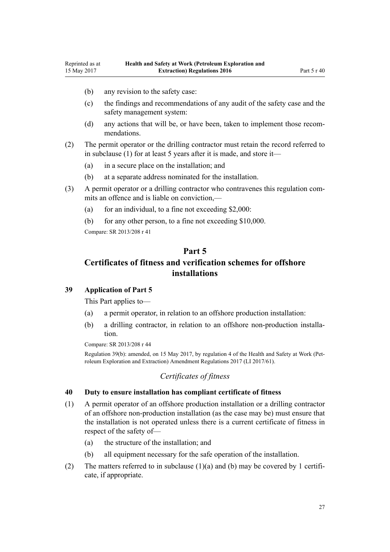- <span id="page-26-0"></span>(b) any revision to the safety case:
- (c) the findings and recommendations of any audit of the safety case and the safety management system:
- (d) any actions that will be, or have been, taken to implement those recommendations.
- (2) The permit operator or the drilling contractor must retain the record referred to in subclause (1) for at least 5 years after it is made, and store it—
	- (a) in a secure place on the installation; and
	- (b) at a separate address nominated for the installation.
- (3) A permit operator or a drilling contractor who contravenes this regulation commits an offence and is liable on conviction,—
	- (a) for an individual, to a fine not exceeding  $$2,000$ :
	- (b) for any other person, to a fine not exceeding \$10,000.

# **Part 5 Certificates of fitness and verification schemes for offshore installations**

# **39 Application of Part 5**

This Part applies to—

- (a) a permit operator, in relation to an offshore production installation:
- (b) a drilling contractor, in relation to an offshore non-production installation.

Compare: SR 2013/208 [r 44](http://prd-lgnz-nlb.prd.pco.net.nz/pdflink.aspx?id=DLM5203771)

Regulation 39(b): amended, on 15 May 2017, by [regulation 4](http://prd-lgnz-nlb.prd.pco.net.nz/pdflink.aspx?id=DLM7187408) of the Health and Safety at Work (Petroleum Exploration and Extraction) Amendment Regulations 2017 (LI 2017/61).

## *Certificates of fitness*

#### **40 Duty to ensure installation has compliant certificate of fitness**

- (1) A permit operator of an offshore production installation or a drilling contractor of an offshore non-production installation (as the case may be) must ensure that the installation is not operated unless there is a current certificate of fitness in respect of the safety of—
	- (a) the structure of the installation; and
	- (b) all equipment necessary for the safe operation of the installation.
- (2) The matters referred to in subclause (1)(a) and (b) may be covered by 1 certificate, if appropriate.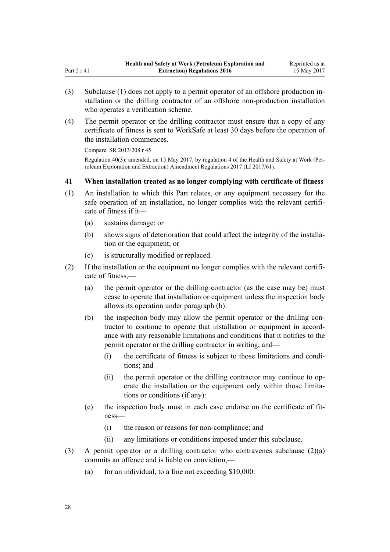- (3) Subclause (1) does not apply to a permit operator of an offshore production installation or the drilling contractor of an offshore non-production installation who operates a verification scheme.
- (4) The permit operator or the drilling contractor must ensure that a copy of any certificate of fitness is sent to WorkSafe at least 30 days before the operation of the installation commences.

<span id="page-27-0"></span>Part 5 r 41

Regulation 40(3): amended, on 15 May 2017, by [regulation 4](http://prd-lgnz-nlb.prd.pco.net.nz/pdflink.aspx?id=DLM7187408) of the Health and Safety at Work (Petroleum Exploration and Extraction) Amendment Regulations 2017 (LI 2017/61).

# **41 When installation treated as no longer complying with certificate of fitness**

- (1) An installation to which this Part relates, or any equipment necessary for the safe operation of an installation, no longer complies with the relevant certificate of fitness if it—
	- (a) sustains damage; or
	- (b) shows signs of deterioration that could affect the integrity of the installation or the equipment; or
	- (c) is structurally modified or replaced.
- (2) If the installation or the equipment no longer complies with the relevant certificate of fitness,—
	- (a) the permit operator or the drilling contractor (as the case may be) must cease to operate that installation or equipment unless the inspection body allows its operation under paragraph (b):
	- (b) the inspection body may allow the permit operator or the drilling contractor to continue to operate that installation or equipment in accordance with any reasonable limitations and conditions that it notifies to the permit operator or the drilling contractor in writing, and—
		- (i) the certificate of fitness is subject to those limitations and conditions; and
		- (ii) the permit operator or the drilling contractor may continue to operate the installation or the equipment only within those limitations or conditions (if any):
	- (c) the inspection body must in each case endorse on the certificate of fitness—
		- (i) the reason or reasons for non-compliance; and
		- (ii) any limitations or conditions imposed under this subclause.
- (3) A permit operator or a drilling contractor who contravenes subclause  $(2)(a)$ commits an offence and is liable on conviction,—
	- (a) for an individual, to a fine not exceeding  $$10,000$ :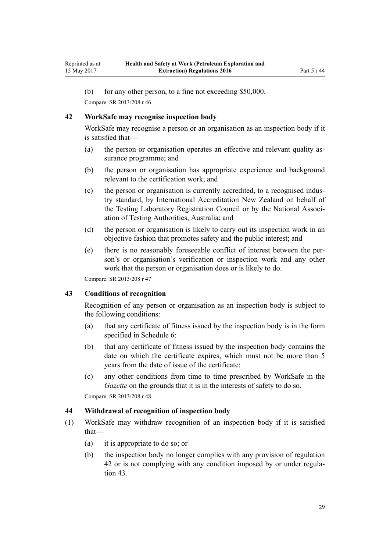<span id="page-28-0"></span>(b) for any other person, to a fine not exceeding \$50,000.

Compare: SR 2013/208 [r 46](http://prd-lgnz-nlb.prd.pco.net.nz/pdflink.aspx?id=DLM5203372)

#### **42 WorkSafe may recognise inspection body**

WorkSafe may recognise a person or an organisation as an inspection body if it is satisfied that—

- (a) the person or organisation operates an effective and relevant quality assurance programme; and
- (b) the person or organisation has appropriate experience and background relevant to the certification work; and
- (c) the person or organisation is currently accredited, to a recognised industry standard, by International Accreditation New Zealand on behalf of the Testing Laboratory Registration Council or by the National Association of Testing Authorities, Australia; and
- (d) the person or organisation is likely to carry out its inspection work in an objective fashion that promotes safety and the public interest; and
- (e) there is no reasonably foreseeable conflict of interest between the person's or organisation's verification or inspection work and any other work that the person or organisation does or is likely to do.

Compare: SR 2013/208 [r 47](http://prd-lgnz-nlb.prd.pco.net.nz/pdflink.aspx?id=DLM5202515)

#### **43 Conditions of recognition**

Recognition of any person or organisation as an inspection body is subject to the following conditions:

- (a) that any certificate of fitness issued by the inspection body is in the form specified in [Schedule 6](#page-60-0):
- (b) that any certificate of fitness issued by the inspection body contains the date on which the certificate expires, which must not be more than 5 years from the date of issue of the certificate:
- (c) any other conditions from time to time prescribed by WorkSafe in the *Gazette* on the grounds that it is in the interests of safety to do so.

Compare: SR 2013/208 [r 48](http://prd-lgnz-nlb.prd.pco.net.nz/pdflink.aspx?id=DLM5203773)

#### **44 Withdrawal of recognition of inspection body**

- (1) WorkSafe may withdraw recognition of an inspection body if it is satisfied that—
	- (a) it is appropriate to do so; or
	- (b) the inspection body no longer complies with any provision of regulation 42 or is not complying with any condition imposed by or under regulation 43.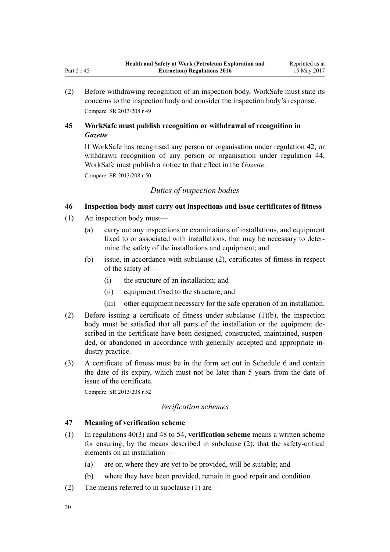(2) Before withdrawing recognition of an inspection body, WorkSafe must state its concerns to the inspection body and consider the inspection body's response. Compare: SR 2013/208 [r 49](http://prd-lgnz-nlb.prd.pco.net.nz/pdflink.aspx?id=DLM5202589)

# **45 WorkSafe must publish recognition or withdrawal of recognition in** *Gazette*

If WorkSafe has recognised any person or organisation under [regulation 42](#page-28-0), or withdrawn recognition of any person or organisation under [regulation 44](#page-28-0), WorkSafe must publish a notice to that effect in the *Gazette*.

Compare: SR 2013/208 [r 50](http://prd-lgnz-nlb.prd.pco.net.nz/pdflink.aspx?id=DLM5203774)

<span id="page-29-0"></span>Part 5 r 45

# *Duties of inspection bodies*

# **46 Inspection body must carry out inspections and issue certificates of fitness**

- (1) An inspection body must—
	- (a) carry out any inspections or examinations of installations, and equipment fixed to or associated with installations, that may be necessary to determine the safety of the installations and equipment; and
	- (b) issue, in accordance with subclause (2), certificates of fitness in respect of the safety of—
		- (i) the structure of an installation; and
		- (ii) equipment fixed to the structure; and
		- (iii) other equipment necessary for the safe operation of an installation.
- (2) Before issuing a certificate of fitness under subclause (1)(b), the inspection body must be satisfied that all parts of the installation or the equipment described in the certificate have been designed, constructed, maintained, suspended, or abandoned in accordance with generally accepted and appropriate industry practice.
- (3) A certificate of fitness must be in the form set out in [Schedule 6](#page-60-0) and contain the date of its expiry, which must not be later than 5 years from the date of issue of the certificate.

Compare: SR 2013/208 [r 52](http://prd-lgnz-nlb.prd.pco.net.nz/pdflink.aspx?id=DLM5202506)

# *Verification schemes*

# **47 Meaning of verification scheme**

- (1) In [regulations 40\(3\)](#page-26-0) and [48 to 54,](#page-30-0) **verification scheme** means a written scheme for ensuring, by the means described in subclause (2), that the safety-critical elements on an installation—
	- (a) are or, where they are yet to be provided, will be suitable; and
	- (b) where they have been provided, remain in good repair and condition.
- (2) The means referred to in subclause (1) are—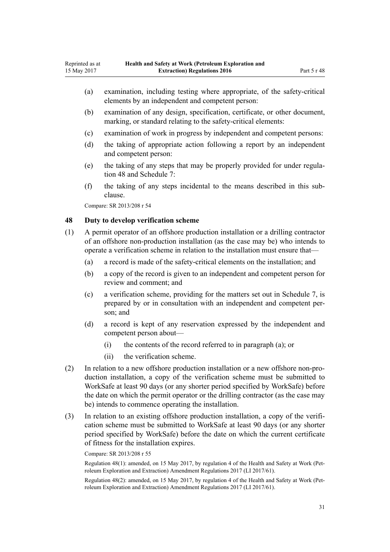- <span id="page-30-0"></span>(a) examination, including testing where appropriate, of the safety-critical elements by an independent and competent person:
- (b) examination of any design, specification, certificate, or other document, marking, or standard relating to the safety-critical elements:
- (c) examination of work in progress by independent and competent persons:
- (d) the taking of appropriate action following a report by an independent and competent person:
- (e) the taking of any steps that may be properly provided for under regulation 48 and [Schedule 7:](#page-61-0)
- (f) the taking of any steps incidental to the means described in this subclause.

#### **48 Duty to develop verification scheme**

- (1) A permit operator of an offshore production installation or a drilling contractor of an offshore non-production installation (as the case may be) who intends to operate a verification scheme in relation to the installation must ensure that—
	- (a) a record is made of the safety-critical elements on the installation; and
	- (b) a copy of the record is given to an independent and competent person for review and comment; and
	- (c) a verification scheme, providing for the matters set out in [Schedule 7](#page-61-0), is prepared by or in consultation with an independent and competent person; and
	- (d) a record is kept of any reservation expressed by the independent and competent person about—
		- (i) the contents of the record referred to in paragraph (a); or
		- (ii) the verification scheme.
- (2) In relation to a new offshore production installation or a new offshore non-production installation, a copy of the verification scheme must be submitted to WorkSafe at least 90 days (or any shorter period specified by WorkSafe) before the date on which the permit operator or the drilling contractor (as the case may be) intends to commence operating the installation.
- (3) In relation to an existing offshore production installation, a copy of the verification scheme must be submitted to WorkSafe at least 90 days (or any shorter period specified by WorkSafe) before the date on which the current certificate of fitness for the installation expires.

Compare: SR 2013/208 [r 55](http://prd-lgnz-nlb.prd.pco.net.nz/pdflink.aspx?id=DLM5203300)

Regulation 48(1): amended, on 15 May 2017, by [regulation 4](http://prd-lgnz-nlb.prd.pco.net.nz/pdflink.aspx?id=DLM7187408) of the Health and Safety at Work (Petroleum Exploration and Extraction) Amendment Regulations 2017 (LI 2017/61).

Regulation 48(2): amended, on 15 May 2017, by [regulation 4](http://prd-lgnz-nlb.prd.pco.net.nz/pdflink.aspx?id=DLM7187408) of the Health and Safety at Work (Petroleum Exploration and Extraction) Amendment Regulations 2017 (LI 2017/61).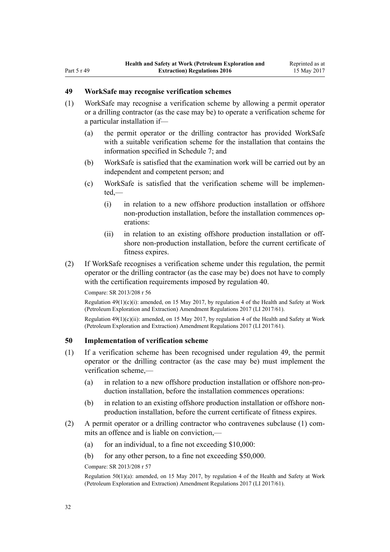# <span id="page-31-0"></span>**49 WorkSafe may recognise verification schemes**

- (1) WorkSafe may recognise a verification scheme by allowing a permit operator or a drilling contractor (as the case may be) to operate a verification scheme for a particular installation if—
	- (a) the permit operator or the drilling contractor has provided WorkSafe with a suitable verification scheme for the installation that contains the information specified in [Schedule 7](#page-61-0); and
	- (b) WorkSafe is satisfied that the examination work will be carried out by an independent and competent person; and
	- (c) WorkSafe is satisfied that the verification scheme will be implemented,—
		- (i) in relation to a new offshore production installation or offshore non-production installation, before the installation commences operations:
		- (ii) in relation to an existing offshore production installation or offshore non-production installation, before the current certificate of fitness expires.
- (2) If WorkSafe recognises a verification scheme under this regulation, the permit operator or the drilling contractor (as the case may be) does not have to comply with the certification requirements imposed by [regulation 40](#page-26-0).

Compare: SR 2013/208 [r 56](http://prd-lgnz-nlb.prd.pco.net.nz/pdflink.aspx?id=DLM5203308)

Regulation  $49(1)(c)(i)$ : amended, on 15 May 2017, by [regulation 4](http://prd-lgnz-nlb.prd.pco.net.nz/pdflink.aspx?id=DLM7187408) of the Health and Safety at Work (Petroleum Exploration and Extraction) Amendment Regulations 2017 (LI 2017/61).

Regulation 49(1)(c)(ii): amended, on 15 May 2017, by [regulation 4](http://prd-lgnz-nlb.prd.pco.net.nz/pdflink.aspx?id=DLM7187408) of the Health and Safety at Work (Petroleum Exploration and Extraction) Amendment Regulations 2017 (LI 2017/61).

#### **50 Implementation of verification scheme**

- (1) If a verification scheme has been recognised under regulation 49, the permit operator or the drilling contractor (as the case may be) must implement the verification scheme,—
	- (a) in relation to a new offshore production installation or offshore non-production installation, before the installation commences operations:
	- (b) in relation to an existing offshore production installation or offshore nonproduction installation, before the current certificate of fitness expires.
- (2) A permit operator or a drilling contractor who contravenes subclause (1) commits an offence and is liable on conviction,—
	- (a) for an individual, to a fine not exceeding  $$10,000$ :
	- (b) for any other person, to a fine not exceeding \$50,000.

Compare: SR 2013/208 [r 57](http://prd-lgnz-nlb.prd.pco.net.nz/pdflink.aspx?id=DLM5203310)

Regulation 50(1)(a): amended, on 15 May 2017, by [regulation 4](http://prd-lgnz-nlb.prd.pco.net.nz/pdflink.aspx?id=DLM7187408) of the Health and Safety at Work (Petroleum Exploration and Extraction) Amendment Regulations 2017 (LI 2017/61).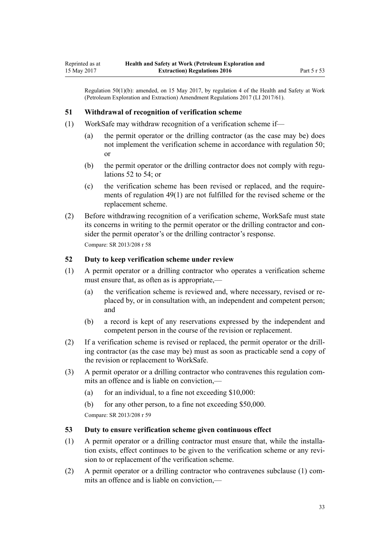<span id="page-32-0"></span>Regulation 50(1)(b): amended, on 15 May 2017, by [regulation 4](http://prd-lgnz-nlb.prd.pco.net.nz/pdflink.aspx?id=DLM7187408) of the Health and Safety at Work (Petroleum Exploration and Extraction) Amendment Regulations 2017 (LI 2017/61).

#### **51 Withdrawal of recognition of verification scheme**

- (1) WorkSafe may withdraw recognition of a verification scheme if—
	- (a) the permit operator or the drilling contractor (as the case may be) does not implement the verification scheme in accordance with [regulation 50;](#page-31-0) or
	- (b) the permit operator or the drilling contractor does not comply with regulations 52 to 54; or
	- (c) the verification scheme has been revised or replaced, and the requirements of [regulation 49\(1\)](#page-31-0) are not fulfilled for the revised scheme or the replacement scheme.
- (2) Before withdrawing recognition of a verification scheme, WorkSafe must state its concerns in writing to the permit operator or the drilling contractor and consider the permit operator's or the drilling contractor's response. Compare: SR 2013/208 [r 58](http://prd-lgnz-nlb.prd.pco.net.nz/pdflink.aspx?id=DLM5203320)

#### **52 Duty to keep verification scheme under review**

- (1) A permit operator or a drilling contractor who operates a verification scheme must ensure that, as often as is appropriate,—
	- (a) the verification scheme is reviewed and, where necessary, revised or replaced by, or in consultation with, an independent and competent person; and
	- (b) a record is kept of any reservations expressed by the independent and competent person in the course of the revision or replacement.
- (2) If a verification scheme is revised or replaced, the permit operator or the drilling contractor (as the case may be) must as soon as practicable send a copy of the revision or replacement to WorkSafe.
- (3) A permit operator or a drilling contractor who contravenes this regulation commits an offence and is liable on conviction,—
	- (a) for an individual, to a fine not exceeding  $$10,000$ :
	- (b) for any other person, to a fine not exceeding \$50,000. Compare: SR 2013/208 [r 59](http://prd-lgnz-nlb.prd.pco.net.nz/pdflink.aspx?id=DLM5203314)

#### **53 Duty to ensure verification scheme given continuous effect**

- (1) A permit operator or a drilling contractor must ensure that, while the installation exists, effect continues to be given to the verification scheme or any revision to or replacement of the verification scheme.
- (2) A permit operator or a drilling contractor who contravenes subclause (1) commits an offence and is liable on conviction,—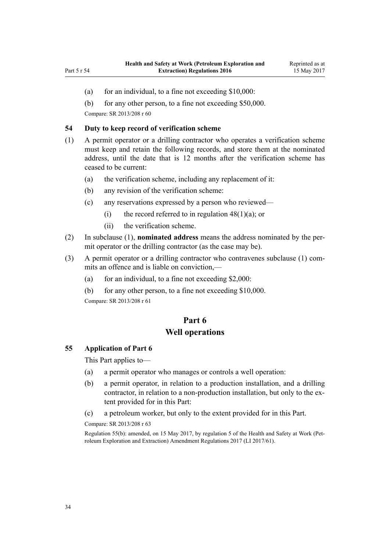- <span id="page-33-0"></span>(a) for an individual, to a fine not exceeding  $$10,000$ :
- (b) for any other person, to a fine not exceeding \$50,000.

#### **54 Duty to keep record of verification scheme**

- (1) A permit operator or a drilling contractor who operates a verification scheme must keep and retain the following records, and store them at the nominated address, until the date that is 12 months after the verification scheme has ceased to be current:
	- (a) the verification scheme, including any replacement of it:
	- (b) any revision of the verification scheme:
	- (c) any reservations expressed by a person who reviewed—
		- (i) the record referred to in regulation  $48(1)(a)$ ; or
		- (ii) the verification scheme.
- (2) In subclause (1), **nominated address** means the address nominated by the permit operator or the drilling contractor (as the case may be).
- (3) A permit operator or a drilling contractor who contravenes subclause (1) commits an offence and is liable on conviction,—
	- (a) for an individual, to a fine not exceeding  $$2,000$ :
	- (b) for any other person, to a fine not exceeding \$10,000.

Compare: SR 2013/208 [r 61](http://prd-lgnz-nlb.prd.pco.net.nz/pdflink.aspx?id=DLM5203312)

# **Part 6 Well operations**

#### **55 Application of Part 6**

This Part applies to—

- (a) a permit operator who manages or controls a well operation:
- (b) a permit operator, in relation to a production installation, and a drilling contractor, in relation to a non-production installation, but only to the extent provided for in this Part:
- (c) a petroleum worker, but only to the extent provided for in this Part.

Compare: SR 2013/208 [r 63](http://prd-lgnz-nlb.prd.pco.net.nz/pdflink.aspx?id=DLM5203781)

Regulation 55(b): amended, on 15 May 2017, by [regulation 5](http://prd-lgnz-nlb.prd.pco.net.nz/pdflink.aspx?id=DLM7187409) of the Health and Safety at Work (Petroleum Exploration and Extraction) Amendment Regulations 2017 (LI 2017/61).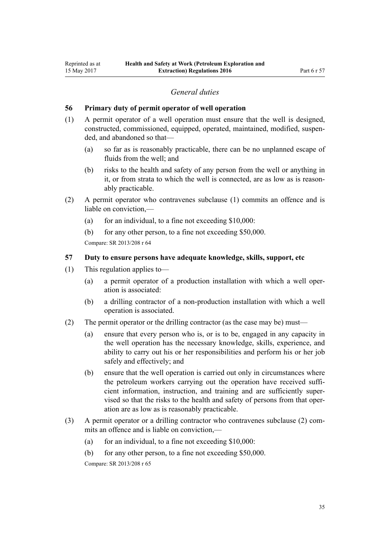## *General duties*

#### <span id="page-34-0"></span>**56 Primary duty of permit operator of well operation**

- (1) A permit operator of a well operation must ensure that the well is designed, constructed, commissioned, equipped, operated, maintained, modified, suspended, and abandoned so that—
	- (a) so far as is reasonably practicable, there can be no unplanned escape of fluids from the well; and
	- (b) risks to the health and safety of any person from the well or anything in it, or from strata to which the well is connected, are as low as is reasonably practicable.
- (2) A permit operator who contravenes subclause (1) commits an offence and is liable on conviction,—
	- (a) for an individual, to a fine not exceeding  $$10,000$ :
	- (b) for any other person, to a fine not exceeding \$50,000. Compare: SR 2013/208 [r 64](http://prd-lgnz-nlb.prd.pco.net.nz/pdflink.aspx?id=DLM5203322)

## **57 Duty to ensure persons have adequate knowledge, skills, support, etc**

- (1) This regulation applies to—
	- (a) a permit operator of a production installation with which a well operation is associated:
	- (b) a drilling contractor of a non-production installation with which a well operation is associated.
- (2) The permit operator or the drilling contractor (as the case may be) must—
	- (a) ensure that every person who is, or is to be, engaged in any capacity in the well operation has the necessary knowledge, skills, experience, and ability to carry out his or her responsibilities and perform his or her job safely and effectively; and
	- (b) ensure that the well operation is carried out only in circumstances where the petroleum workers carrying out the operation have received sufficient information, instruction, and training and are sufficiently supervised so that the risks to the health and safety of persons from that operation are as low as is reasonably practicable.
- (3) A permit operator or a drilling contractor who contravenes subclause (2) commits an offence and is liable on conviction,—
	- (a) for an individual, to a fine not exceeding  $$10,000$ :
	- (b) for any other person, to a fine not exceeding \$50,000.

Compare: SR 2013/208 [r 65](http://prd-lgnz-nlb.prd.pco.net.nz/pdflink.aspx?id=DLM5203380)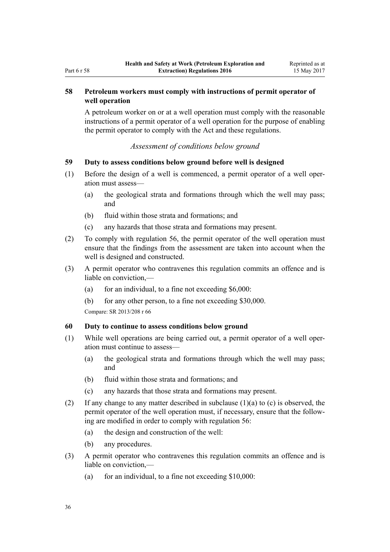# <span id="page-35-0"></span>**58 Petroleum workers must comply with instructions of permit operator of well operation**

A petroleum worker on or at a well operation must comply with the reasonable instructions of a permit operator of a well operation for the purpose of enabling the permit operator to comply with the Act and these regulations.

# *Assessment of conditions below ground*

## **59 Duty to assess conditions below ground before well is designed**

- (1) Before the design of a well is commenced, a permit operator of a well operation must assess—
	- (a) the geological strata and formations through which the well may pass; and
	- (b) fluid within those strata and formations; and
	- (c) any hazards that those strata and formations may present.
- (2) To comply with [regulation 56](#page-34-0), the permit operator of the well operation must ensure that the findings from the assessment are taken into account when the well is designed and constructed.
- (3) A permit operator who contravenes this regulation commits an offence and is liable on conviction,—
	- (a) for an individual, to a fine not exceeding  $$6,000$ :
	- (b) for any other person, to a fine not exceeding \$30,000.

Compare: SR 2013/208 [r 66](http://prd-lgnz-nlb.prd.pco.net.nz/pdflink.aspx?id=DLM5203382)

## **60 Duty to continue to assess conditions below ground**

- (1) While well operations are being carried out, a permit operator of a well operation must continue to assess—
	- (a) the geological strata and formations through which the well may pass; and
	- (b) fluid within those strata and formations; and
	- (c) any hazards that those strata and formations may present.
- (2) If any change to any matter described in subclause (1)(a) to (c) is observed, the permit operator of the well operation must, if necessary, ensure that the following are modified in order to comply with [regulation 56:](#page-34-0)
	- (a) the design and construction of the well:
	- (b) any procedures.
- (3) A permit operator who contravenes this regulation commits an offence and is liable on conviction,—
	- (a) for an individual, to a fine not exceeding  $$10,000$ :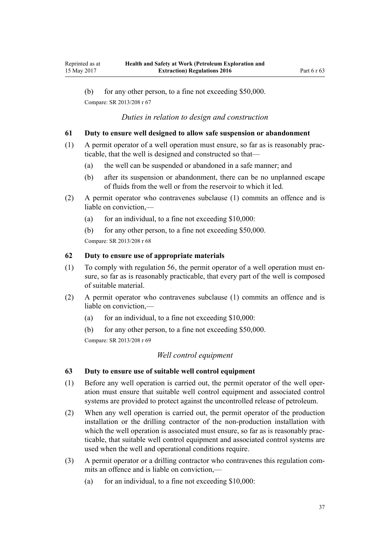<span id="page-36-0"></span>(b) for any other person, to a fine not exceeding \$50,000. Compare: SR 2013/208 [r 67](http://prd-lgnz-nlb.prd.pco.net.nz/pdflink.aspx?id=DLM5203384)

#### *Duties in relation to design and construction*

#### **61 Duty to ensure well designed to allow safe suspension or abandonment**

- (1) A permit operator of a well operation must ensure, so far as is reasonably practicable, that the well is designed and constructed so that—
	- (a) the well can be suspended or abandoned in a safe manner; and
	- (b) after its suspension or abandonment, there can be no unplanned escape of fluids from the well or from the reservoir to which it led.
- (2) A permit operator who contravenes subclause (1) commits an offence and is liable on conviction,—
	- (a) for an individual, to a fine not exceeding  $$10,000$ :
	- (b) for any other person, to a fine not exceeding \$50,000.

Compare: SR 2013/208 [r 68](http://prd-lgnz-nlb.prd.pco.net.nz/pdflink.aspx?id=DLM5203386)

## **62 Duty to ensure use of appropriate materials**

- (1) To comply with [regulation 56](#page-34-0), the permit operator of a well operation must ensure, so far as is reasonably practicable, that every part of the well is composed of suitable material.
- (2) A permit operator who contravenes subclause (1) commits an offence and is liable on conviction,—
	- (a) for an individual, to a fine not exceeding  $$10,000$ :
	- (b) for any other person, to a fine not exceeding \$50,000.

Compare: SR 2013/208 [r 69](http://prd-lgnz-nlb.prd.pco.net.nz/pdflink.aspx?id=DLM5203388)

# *Well control equipment*

#### **63 Duty to ensure use of suitable well control equipment**

- (1) Before any well operation is carried out, the permit operator of the well operation must ensure that suitable well control equipment and associated control systems are provided to protect against the uncontrolled release of petroleum.
- (2) When any well operation is carried out, the permit operator of the production installation or the drilling contractor of the non-production installation with which the well operation is associated must ensure, so far as is reasonably practicable, that suitable well control equipment and associated control systems are used when the well and operational conditions require.
- (3) A permit operator or a drilling contractor who contravenes this regulation commits an offence and is liable on conviction,—
	- (a) for an individual, to a fine not exceeding  $$10,000$ :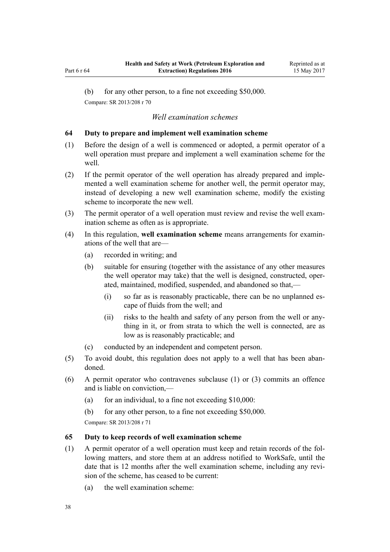<span id="page-37-0"></span>(b) for any other person, to a fine not exceeding \$50,000. Compare: SR 2013/208 [r 70](http://prd-lgnz-nlb.prd.pco.net.nz/pdflink.aspx?id=DLM5203390)

#### *Well examination schemes*

#### **64 Duty to prepare and implement well examination scheme**

- (1) Before the design of a well is commenced or adopted, a permit operator of a well operation must prepare and implement a well examination scheme for the well.
- (2) If the permit operator of the well operation has already prepared and implemented a well examination scheme for another well, the permit operator may, instead of developing a new well examination scheme, modify the existing scheme to incorporate the new well.
- (3) The permit operator of a well operation must review and revise the well examination scheme as often as is appropriate.
- (4) In this regulation, **well examination scheme** means arrangements for examinations of the well that are—
	- (a) recorded in writing; and
	- (b) suitable for ensuring (together with the assistance of any other measures the well operator may take) that the well is designed, constructed, operated, maintained, modified, suspended, and abandoned so that,—
		- (i) so far as is reasonably practicable, there can be no unplanned escape of fluids from the well; and
		- (ii) risks to the health and safety of any person from the well or anything in it, or from strata to which the well is connected, are as low as is reasonably practicable; and
	- (c) conducted by an independent and competent person.
- (5) To avoid doubt, this regulation does not apply to a well that has been abandoned.
- (6) A permit operator who contravenes subclause (1) or (3) commits an offence and is liable on conviction,—
	- (a) for an individual, to a fine not exceeding  $$10,000$ :
	- (b) for any other person, to a fine not exceeding \$50,000.

Compare: SR 2013/208 [r 71](http://prd-lgnz-nlb.prd.pco.net.nz/pdflink.aspx?id=DLM5203392)

#### **65 Duty to keep records of well examination scheme**

- (1) A permit operator of a well operation must keep and retain records of the following matters, and store them at an address notified to WorkSafe, until the date that is 12 months after the well examination scheme, including any revision of the scheme, has ceased to be current:
	- (a) the well examination scheme: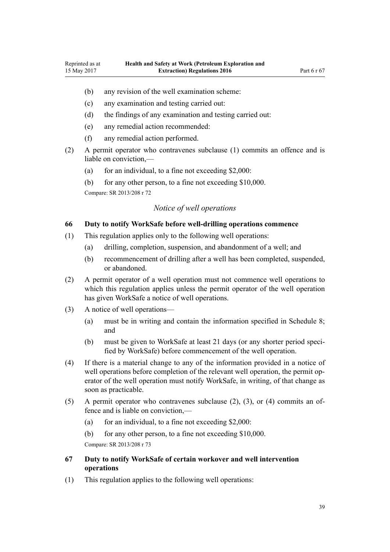- <span id="page-38-0"></span>(b) any revision of the well examination scheme:
- (c) any examination and testing carried out:
- (d) the findings of any examination and testing carried out:
- (e) any remedial action recommended:
- (f) any remedial action performed.
- (2) A permit operator who contravenes subclause (1) commits an offence and is liable on conviction,—
	- (a) for an individual, to a fine not exceeding  $$2,000$ :
	- (b) for any other person, to a fine not exceeding \$10,000.

#### *Notice of well operations*

#### **66 Duty to notify WorkSafe before well-drilling operations commence**

- (1) This regulation applies only to the following well operations:
	- (a) drilling, completion, suspension, and abandonment of a well; and
	- (b) recommencement of drilling after a well has been completed, suspended, or abandoned.
- (2) A permit operator of a well operation must not commence well operations to which this regulation applies unless the permit operator of the well operation has given WorkSafe a notice of well operations.
- (3) A notice of well operations—
	- (a) must be in writing and contain the information specified in [Schedule 8;](#page-62-0) and
	- (b) must be given to WorkSafe at least 21 days (or any shorter period specified by WorkSafe) before commencement of the well operation.
- (4) If there is a material change to any of the information provided in a notice of well operations before completion of the relevant well operation, the permit operator of the well operation must notify WorkSafe, in writing, of that change as soon as practicable.
- (5) A permit operator who contravenes subclause (2), (3), or (4) commits an offence and is liable on conviction,—
	- (a) for an individual, to a fine not exceeding  $$2,000$ :
	- (b) for any other person, to a fine not exceeding \$10,000. Compare: SR 2013/208 [r 73](http://prd-lgnz-nlb.prd.pco.net.nz/pdflink.aspx?id=DLM5203330)
- **67 Duty to notify WorkSafe of certain workover and well intervention operations**
- (1) This regulation applies to the following well operations: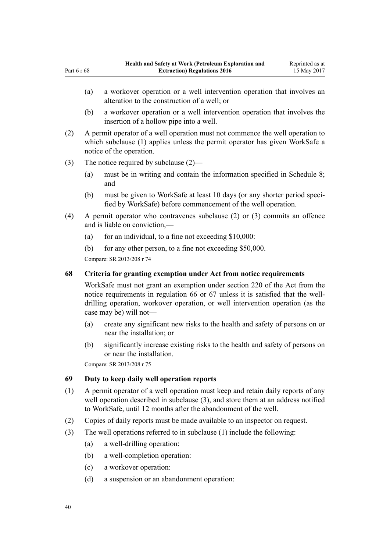- (a) a workover operation or a well intervention operation that involves an alteration to the construction of a well; or
- (b) a workover operation or a well intervention operation that involves the insertion of a hollow pipe into a well.
- (2) A permit operator of a well operation must not commence the well operation to which subclause (1) applies unless the permit operator has given WorkSafe a notice of the operation.
- (3) The notice required by subclause (2)—

<span id="page-39-0"></span>Part 6 r 68

- (a) must be in writing and contain the information specified in [Schedule 8;](#page-62-0) and
- (b) must be given to WorkSafe at least 10 days (or any shorter period specified by WorkSafe) before commencement of the well operation.
- (4) A permit operator who contravenes subclause (2) or (3) commits an offence and is liable on conviction,—
	- (a) for an individual, to a fine not exceeding  $$10,000$ :
	- (b) for any other person, to a fine not exceeding \$50,000.

Compare: SR 2013/208 [r 74](http://prd-lgnz-nlb.prd.pco.net.nz/pdflink.aspx?id=DLM5203328)

### **68 Criteria for granting exemption under Act from notice requirements**

WorkSafe must not grant an exemption under [section 220](http://prd-lgnz-nlb.prd.pco.net.nz/pdflink.aspx?id=DLM6544175) of the Act from the notice requirements in [regulation 66](#page-38-0) or [67](#page-38-0) unless it is satisfied that the welldrilling operation, workover operation, or well intervention operation (as the case may be) will not—

- (a) create any significant new risks to the health and safety of persons on or near the installation; or
- (b) significantly increase existing risks to the health and safety of persons on or near the installation.

Compare: SR 2013/208 [r 75](http://prd-lgnz-nlb.prd.pco.net.nz/pdflink.aspx?id=DLM5203789)

## **69 Duty to keep daily well operation reports**

- (1) A permit operator of a well operation must keep and retain daily reports of any well operation described in subclause (3), and store them at an address notified to WorkSafe, until 12 months after the abandonment of the well.
- (2) Copies of daily reports must be made available to an inspector on request.
- (3) The well operations referred to in subclause (1) include the following:
	- (a) a well-drilling operation:
	- (b) a well-completion operation:
	- (c) a workover operation:
	- (d) a suspension or an abandonment operation: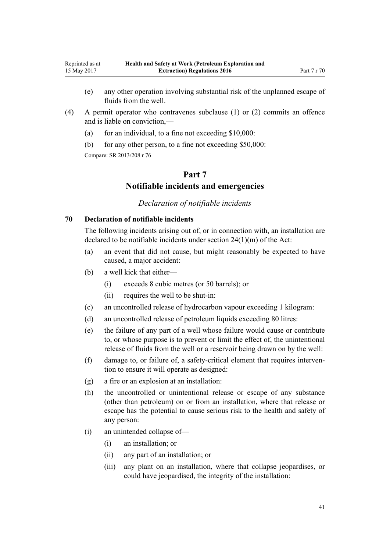- (e) any other operation involving substantial risk of the unplanned escape of fluids from the well.
- (4) A permit operator who contravenes subclause (1) or (2) commits an offence and is liable on conviction,—
	- (a) for an individual, to a fine not exceeding  $$10,000$ :
	- (b) for any other person, to a fine not exceeding \$50,000:

<span id="page-40-0"></span>Reprinted as at 15 May 2017

# **Part 7 Notifiable incidents and emergencies**

#### *Declaration of notifiable incidents*

## **70 Declaration of notifiable incidents**

The following incidents arising out of, or in connection with, an installation are declared to be notifiable incidents under [section 24\(1\)\(m\)](http://prd-lgnz-nlb.prd.pco.net.nz/pdflink.aspx?id=DLM5976877) of the Act:

- (a) an event that did not cause, but might reasonably be expected to have caused, a major accident:
- (b) a well kick that either—
	- (i) exceeds 8 cubic metres (or 50 barrels); or
	- (ii) requires the well to be shut-in:
- (c) an uncontrolled release of hydrocarbon vapour exceeding 1 kilogram:
- (d) an uncontrolled release of petroleum liquids exceeding 80 litres:
- (e) the failure of any part of a well whose failure would cause or contribute to, or whose purpose is to prevent or limit the effect of, the unintentional release of fluids from the well or a reservoir being drawn on by the well:
- (f) damage to, or failure of, a safety-critical element that requires intervention to ensure it will operate as designed:
- (g) a fire or an explosion at an installation:
- (h) the uncontrolled or unintentional release or escape of any substance (other than petroleum) on or from an installation, where that release or escape has the potential to cause serious risk to the health and safety of any person:
- (i) an unintended collapse of—
	- (i) an installation; or
	- (ii) any part of an installation; or
	- (iii) any plant on an installation, where that collapse jeopardises, or could have jeopardised, the integrity of the installation: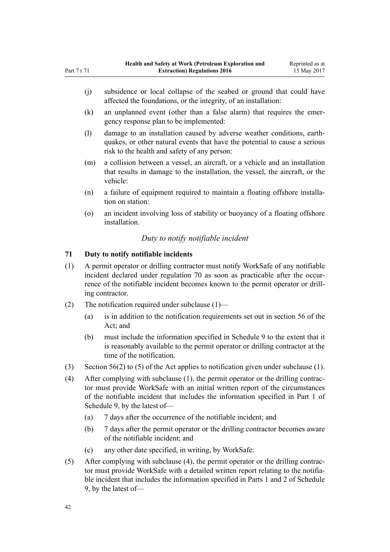- (k) an unplanned event (other than a false alarm) that requires the emergency response plan to be implemented:
- (l) damage to an installation caused by adverse weather conditions, earthquakes, or other natural events that have the potential to cause a serious risk to the health and safety of any person:
- (m) a collision between a vessel, an aircraft, or a vehicle and an installation that results in damage to the installation, the vessel, the aircraft, or the vehicle:
- (n) a failure of equipment required to maintain a floating offshore installation on station:
- (o) an incident involving loss of stability or buoyancy of a floating offshore installation.

# *Duty to notify notifiable incident*

# **71 Duty to notify notifiable incidents**

<span id="page-41-0"></span>Part 7 r 71

- (1) A permit operator or drilling contractor must notify WorkSafe of any notifiable incident declared under [regulation 70](#page-40-0) as soon as practicable after the occurrence of the notifiable incident becomes known to the permit operator or drilling contractor.
- (2) The notification required under subclause (1)—
	- (a) is in addition to the notification requirements set out in [section 56](http://prd-lgnz-nlb.prd.pco.net.nz/pdflink.aspx?id=DLM6544144) of the Act; and
	- (b) must include the information specified in [Schedule 9](#page-65-0) to the extent that it is reasonably available to the permit operator or drilling contractor at the time of the notification.
- (3) [Section 56\(2\) to \(5\)](http://prd-lgnz-nlb.prd.pco.net.nz/pdflink.aspx?id=DLM6544144) of the Act applies to notification given under subclause (1).
- (4) After complying with subclause (1), the permit operator or the drilling contractor must provide WorkSafe with an initial written report of the circumstances of the notifiable incident that includes the information specified in [Part 1](#page-65-0) of Schedule 9, by the latest of—
	- (a) 7 days after the occurrence of the notifiable incident; and
	- (b) 7 days after the permit operator or the drilling contractor becomes aware of the notifiable incident; and
	- (c) any other date specified, in writing, by WorkSafe.
- (5) After complying with subclause (4), the permit operator or the drilling contractor must provide WorkSafe with a detailed written report relating to the notifiable incident that includes the information specified in [Parts 1](#page-65-0) and [2](#page-66-0) of Schedule 9, by the latest of—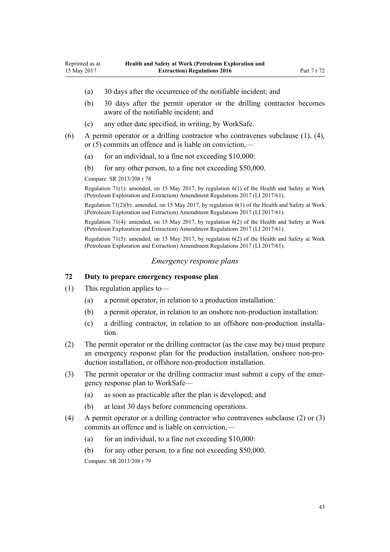- <span id="page-42-0"></span>(a) 30 days after the occurrence of the notifiable incident; and
- (b) 30 days after the permit operator or the drilling contractor becomes aware of the notifiable incident; and
- (c) any other date specified, in writing, by WorkSafe.
- (6) A permit operator or a drilling contractor who contravenes subclause (1), (4), or (5) commits an offence and is liable on conviction,—
	- (a) for an individual, to a fine not exceeding  $$10,000$ :
	- (b) for any other person, to a fine not exceeding \$50,000.

Regulation 71(1): amended, on 15 May 2017, by [regulation 6\(1\)](http://prd-lgnz-nlb.prd.pco.net.nz/pdflink.aspx?id=DLM7187410) of the Health and Safety at Work (Petroleum Exploration and Extraction) Amendment Regulations 2017 (LI 2017/61).

Regulation 71(2)(b): amended, on 15 May 2017, by [regulation 6\(1\)](http://prd-lgnz-nlb.prd.pco.net.nz/pdflink.aspx?id=DLM7187410) of the Health and Safety at Work (Petroleum Exploration and Extraction) Amendment Regulations 2017 (LI 2017/61).

Regulation 71(4): amended, on 15 May 2017, by [regulation 6\(2\)](http://prd-lgnz-nlb.prd.pco.net.nz/pdflink.aspx?id=DLM7187410) of the Health and Safety at Work (Petroleum Exploration and Extraction) Amendment Regulations 2017 (LI 2017/61).

Regulation 71(5): amended, on 15 May 2017, by [regulation 6\(2\)](http://prd-lgnz-nlb.prd.pco.net.nz/pdflink.aspx?id=DLM7187410) of the Health and Safety at Work (Petroleum Exploration and Extraction) Amendment Regulations 2017 (LI 2017/61).

#### *Emergency response plans*

## **72 Duty to prepare emergency response plan**

- (1) This regulation applies to—
	- (a) a permit operator, in relation to a production installation:
	- (b) a permit operator, in relation to an onshore non-production installation:
	- (c) a drilling contractor, in relation to an offshore non-production installation.
- (2) The permit operator or the drilling contractor (as the case may be) must prepare an emergency response plan for the production installation, onshore non-production installation, or offshore non-production installation.
- (3) The permit operator or the drilling contractor must submit a copy of the emergency response plan to WorkSafe—
	- (a) as soon as practicable after the plan is developed; and
	- (b) at least 30 days before commencing operations.
- (4) A permit operator or a drilling contractor who contravenes subclause (2) or (3) commits an offence and is liable on conviction,—
	- (a) for an individual, to a fine not exceeding  $$10,000$ :
	- (b) for any other person, to a fine not exceeding \$50,000.

Compare: SR 2013/208 [r 79](http://prd-lgnz-nlb.prd.pco.net.nz/pdflink.aspx?id=DLM5202508)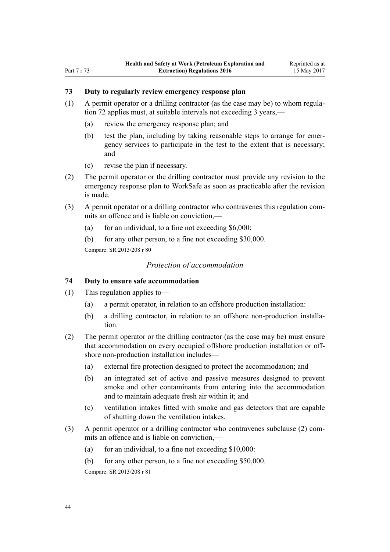# <span id="page-43-0"></span>**73 Duty to regularly review emergency response plan**

- (1) A permit operator or a drilling contractor (as the case may be) to whom [regula](#page-42-0)[tion 72](#page-42-0) applies must, at suitable intervals not exceeding 3 years.—
	- (a) review the emergency response plan; and
	- (b) test the plan, including by taking reasonable steps to arrange for emergency services to participate in the test to the extent that is necessary; and
	- (c) revise the plan if necessary.
- (2) The permit operator or the drilling contractor must provide any revision to the emergency response plan to WorkSafe as soon as practicable after the revision is made.
- (3) A permit operator or a drilling contractor who contravenes this regulation commits an offence and is liable on conviction,—
	- (a) for an individual, to a fine not exceeding  $$6,000$ :

(b) for any other person, to a fine not exceeding \$30,000. Compare: SR 2013/208 [r 80](http://prd-lgnz-nlb.prd.pco.net.nz/pdflink.aspx?id=DLM5203503)

#### *Protection of accommodation*

#### **74 Duty to ensure safe accommodation**

- (1) This regulation applies to—
	- (a) a permit operator, in relation to an offshore production installation:
	- (b) a drilling contractor, in relation to an offshore non-production installation.
- (2) The permit operator or the drilling contractor (as the case may be) must ensure that accommodation on every occupied offshore production installation or offshore non-production installation includes—
	- (a) external fire protection designed to protect the accommodation; and
	- (b) an integrated set of active and passive measures designed to prevent smoke and other contaminants from entering into the accommodation and to maintain adequate fresh air within it; and
	- (c) ventilation intakes fitted with smoke and gas detectors that are capable of shutting down the ventilation intakes.
- (3) A permit operator or a drilling contractor who contravenes subclause (2) commits an offence and is liable on conviction,—
	- (a) for an individual, to a fine not exceeding  $$10,000$ :
	- (b) for any other person, to a fine not exceeding \$50,000.

Compare: SR 2013/208 [r 81](http://prd-lgnz-nlb.prd.pco.net.nz/pdflink.aspx?id=DLM5203505)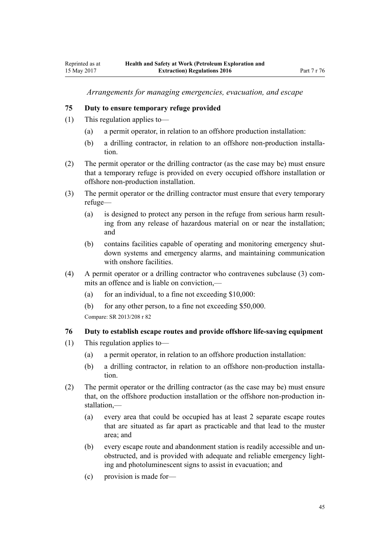*Arrangements for managing emergencies, evacuation, and escape*

#### <span id="page-44-0"></span>**75 Duty to ensure temporary refuge provided**

- (1) This regulation applies to—
	- (a) a permit operator, in relation to an offshore production installation:
	- (b) a drilling contractor, in relation to an offshore non-production installation.
- (2) The permit operator or the drilling contractor (as the case may be) must ensure that a temporary refuge is provided on every occupied offshore installation or offshore non-production installation.
- (3) The permit operator or the drilling contractor must ensure that every temporary refuge—
	- (a) is designed to protect any person in the refuge from serious harm resulting from any release of hazardous material on or near the installation; and
	- (b) contains facilities capable of operating and monitoring emergency shutdown systems and emergency alarms, and maintaining communication with onshore facilities.
- (4) A permit operator or a drilling contractor who contravenes subclause (3) commits an offence and is liable on conviction,—
	- (a) for an individual, to a fine not exceeding  $$10,000$ :
	- (b) for any other person, to a fine not exceeding \$50,000.

Compare: SR 2013/208 [r 82](http://prd-lgnz-nlb.prd.pco.net.nz/pdflink.aspx?id=DLM5203507)

#### **76 Duty to establish escape routes and provide offshore life-saving equipment**

- (1) This regulation applies to—
	- (a) a permit operator, in relation to an offshore production installation:
	- (b) a drilling contractor, in relation to an offshore non-production installation.
- (2) The permit operator or the drilling contractor (as the case may be) must ensure that, on the offshore production installation or the offshore non-production installation,—
	- (a) every area that could be occupied has at least 2 separate escape routes that are situated as far apart as practicable and that lead to the muster area; and
	- (b) every escape route and abandonment station is readily accessible and unobstructed, and is provided with adequate and reliable emergency lighting and photoluminescent signs to assist in evacuation; and
	- (c) provision is made for—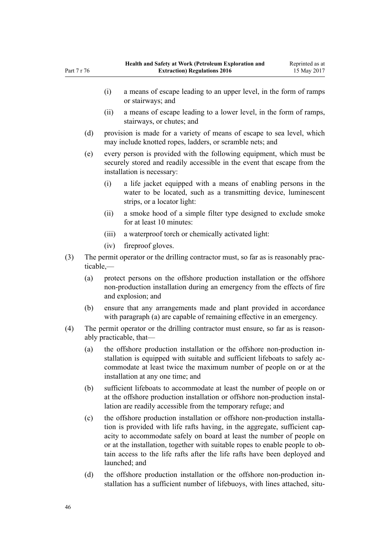- (i) a means of escape leading to an upper level, in the form of ramps or stairways; and
- (ii) a means of escape leading to a lower level, in the form of ramps, stairways, or chutes; and
- (d) provision is made for a variety of means of escape to sea level, which may include knotted ropes, ladders, or scramble nets; and
- (e) every person is provided with the following equipment, which must be securely stored and readily accessible in the event that escape from the installation is necessary:
	- (i) a life jacket equipped with a means of enabling persons in the water to be located, such as a transmitting device, luminescent strips, or a locator light:
	- (ii) a smoke hood of a simple filter type designed to exclude smoke for at least 10 minutes:
	- (iii) a waterproof torch or chemically activated light:
	- (iv) fireproof gloves.
- (3) The permit operator or the drilling contractor must, so far as is reasonably practicable,—
	- (a) protect persons on the offshore production installation or the offshore non-production installation during an emergency from the effects of fire and explosion; and
	- (b) ensure that any arrangements made and plant provided in accordance with paragraph (a) are capable of remaining effective in an emergency.
- (4) The permit operator or the drilling contractor must ensure, so far as is reasonably practicable, that—
	- (a) the offshore production installation or the offshore non-production installation is equipped with suitable and sufficient lifeboats to safely accommodate at least twice the maximum number of people on or at the installation at any one time; and
	- (b) sufficient lifeboats to accommodate at least the number of people on or at the offshore production installation or offshore non-production installation are readily accessible from the temporary refuge; and
	- (c) the offshore production installation or offshore non-production installation is provided with life rafts having, in the aggregate, sufficient capacity to accommodate safely on board at least the number of people on or at the installation, together with suitable ropes to enable people to obtain access to the life rafts after the life rafts have been deployed and launched; and
	- (d) the offshore production installation or the offshore non-production installation has a sufficient number of lifebuoys, with lines attached, situ-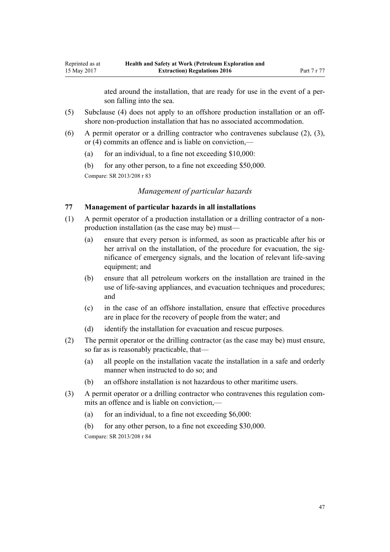ated around the installation, that are ready for use in the event of a person falling into the sea.

- (5) Subclause (4) does not apply to an offshore production installation or an offshore non-production installation that has no associated accommodation.
- (6) A permit operator or a drilling contractor who contravenes subclause (2), (3), or (4) commits an offence and is liable on conviction,—
	- (a) for an individual, to a fine not exceeding  $$10,000$ :
	- (b) for any other person, to a fine not exceeding \$50,000.

Compare: SR 2013/208 [r 83](http://prd-lgnz-nlb.prd.pco.net.nz/pdflink.aspx?id=DLM5203509)

<span id="page-46-0"></span>Reprinted as at 15 May 2017

# *Management of particular hazards*

## **77 Management of particular hazards in all installations**

- (1) A permit operator of a production installation or a drilling contractor of a nonproduction installation (as the case may be) must—
	- (a) ensure that every person is informed, as soon as practicable after his or her arrival on the installation, of the procedure for evacuation, the significance of emergency signals, and the location of relevant life-saving equipment; and
	- (b) ensure that all petroleum workers on the installation are trained in the use of life-saving appliances, and evacuation techniques and procedures; and
	- (c) in the case of an offshore installation, ensure that effective procedures are in place for the recovery of people from the water; and
	- (d) identify the installation for evacuation and rescue purposes.
- (2) The permit operator or the drilling contractor (as the case may be) must ensure, so far as is reasonably practicable, that—
	- (a) all people on the installation vacate the installation in a safe and orderly manner when instructed to do so; and
	- (b) an offshore installation is not hazardous to other maritime users.
- (3) A permit operator or a drilling contractor who contravenes this regulation commits an offence and is liable on conviction,—
	- (a) for an individual, to a fine not exceeding  $$6,000$ :
	- (b) for any other person, to a fine not exceeding \$30,000. Compare: SR 2013/208 [r 84](http://prd-lgnz-nlb.prd.pco.net.nz/pdflink.aspx?id=DLM5203511)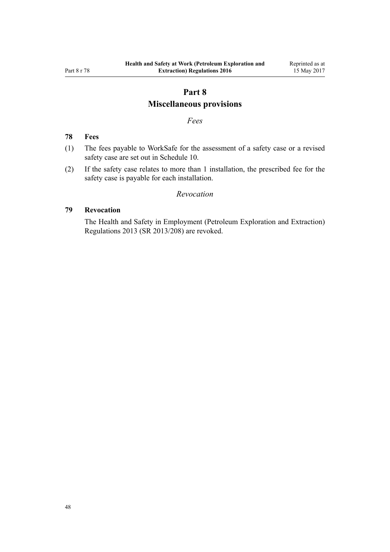# **Part 8**

# **Miscellaneous provisions**

## *Fees*

## <span id="page-47-0"></span>**78 Fees**

- (1) The fees payable to WorkSafe for the assessment of a safety case or a revised safety case are set out in [Schedule 10.](#page-67-0)
- (2) If the safety case relates to more than 1 installation, the prescribed fee for the safety case is payable for each installation.

## *Revocation*

#### **79 Revocation**

The [Health and Safety in Employment \(Petroleum Exploration and Extraction\)](http://prd-lgnz-nlb.prd.pco.net.nz/pdflink.aspx?id=DLM5203557) [Regulations 2013](http://prd-lgnz-nlb.prd.pco.net.nz/pdflink.aspx?id=DLM5203557) (SR 2013/208) are revoked.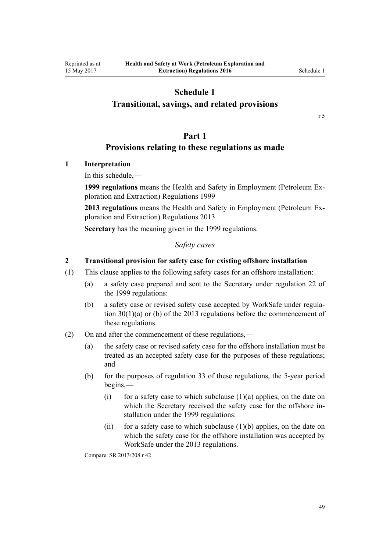# <span id="page-48-0"></span>**Transitional, savings, and related provisions**

[r 5](#page-11-0)

# **Part 1**

# **Provisions relating to these regulations as made**

## **1 Interpretation**

In this schedule,—

**1999 regulations** means the [Health and Safety in Employment \(Petroleum Ex](http://prd-lgnz-nlb.prd.pco.net.nz/pdflink.aspx?id=DLM298206)[ploration and Extraction\) Regulations 1999](http://prd-lgnz-nlb.prd.pco.net.nz/pdflink.aspx?id=DLM298206)

**2013 regulations** means the [Health and Safety in Employment \(Petroleum Ex](http://prd-lgnz-nlb.prd.pco.net.nz/pdflink.aspx?id=DLM5203557)[ploration and Extraction\) Regulations 2013](http://prd-lgnz-nlb.prd.pco.net.nz/pdflink.aspx?id=DLM5203557)

**Secretary** has the meaning given in the 1999 regulations.

#### *Safety cases*

#### **2 Transitional provision for safety case for existing offshore installation**

- (1) This clause applies to the following safety cases for an offshore installation:
	- (a) a safety case prepared and sent to the Secretary under [regulation 22](http://prd-lgnz-nlb.prd.pco.net.nz/pdflink.aspx?id=DLM298295) of the 1999 regulations:
	- (b) a safety case or revised safety case accepted by WorkSafe under [regula](http://prd-lgnz-nlb.prd.pco.net.nz/pdflink.aspx?id=DLM5202569)[tion 30\(1\)\(a\) or \(b\)](http://prd-lgnz-nlb.prd.pco.net.nz/pdflink.aspx?id=DLM5202569) of the 2013 regulations before the commencement of these regulations.
- (2) On and after the commencement of these regulations,—
	- (a) the safety case or revised safety case for the offshore installation must be treated as an accepted safety case for the purposes of these regulations; and
	- (b) for the purposes of [regulation 33](#page-23-0) of these regulations, the 5-year period begins,—
		- (i) for a safety case to which subclause  $(1)(a)$  applies, on the date on which the Secretary received the safety case for the offshore installation under the 1999 regulations:
		- (ii) for a safety case to which subclause  $(1)(b)$  applies, on the date on which the safety case for the offshore installation was accepted by WorkSafe under the 2013 regulations.

Compare: SR 2013/208 [r 42](http://prd-lgnz-nlb.prd.pco.net.nz/pdflink.aspx?id=DLM5203769)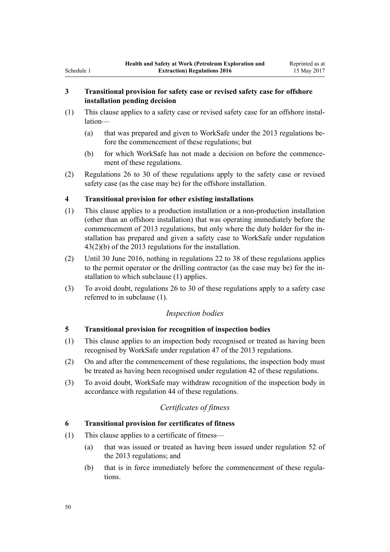# **3 Transitional provision for safety case or revised safety case for offshore installation pending decision**

- (1) This clause applies to a safety case or revised safety case for an offshore installation—
	- (a) that was prepared and given to WorkSafe under the 2013 regulations before the commencement of these regulations; but
	- (b) for which WorkSafe has not made a decision on before the commencement of these regulations.
- (2) [Regulations 26 to 30](#page-19-0) of these regulations apply to the safety case or revised safety case (as the case may be) for the offshore installation.

# **4 Transitional provision for other existing installations**

- (1) This clause applies to a production installation or a non-production installation (other than an offshore installation) that was operating immediately before the commencement of 2013 regulations, but only where the duty holder for the installation has prepared and given a safety case to WorkSafe under [regulation](http://prd-lgnz-nlb.prd.pco.net.nz/pdflink.aspx?id=DLM5203770) [43\(2\)\(b\)](http://prd-lgnz-nlb.prd.pco.net.nz/pdflink.aspx?id=DLM5203770) of the 2013 regulations for the installation.
- (2) Until 30 June 2016, nothing in [regulations 22 to 38](#page-17-0) of these regulations applies to the permit operator or the drilling contractor (as the case may be) for the installation to which subclause (1) applies.
- (3) To avoid doubt, [regulations 26 to 30](#page-19-0) of these regulations apply to a safety case referred to in subclause (1).

# *Inspection bodies*

# **5 Transitional provision for recognition of inspection bodies**

- (1) This clause applies to an inspection body recognised or treated as having been recognised by WorkSafe under [regulation 47](http://prd-lgnz-nlb.prd.pco.net.nz/pdflink.aspx?id=DLM5202515) of the 2013 regulations.
- (2) On and after the commencement of these regulations, the inspection body must be treated as having been recognised under [regulation 42](#page-28-0) of these regulations.
- (3) To avoid doubt, WorkSafe may withdraw recognition of the inspection body in accordance with [regulation 44](#page-28-0) of these regulations.

# *Certificates of fitness*

# **6 Transitional provision for certificates of fitness**

- (1) This clause applies to a certificate of fitness—
	- (a) that was issued or treated as having been issued under [regulation 52](http://prd-lgnz-nlb.prd.pco.net.nz/pdflink.aspx?id=DLM5202506) of the 2013 regulations; and
	- (b) that is in force immediately before the commencement of these regulations.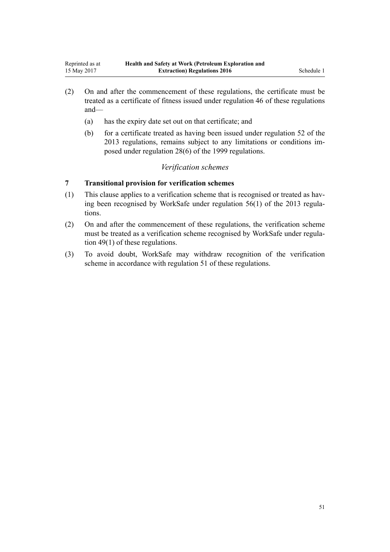- (2) On and after the commencement of these regulations, the certificate must be treated as a certificate of fitness issued under [regulation 46](#page-29-0) of these regulations and—
	- (a) has the expiry date set out on that certificate; and
	- (b) for a certificate treated as having been issued under [regulation 52](http://prd-lgnz-nlb.prd.pco.net.nz/pdflink.aspx?id=DLM5202506) of the 2013 regulations, remains subject to any limitations or conditions imposed under [regulation 28\(6\)](http://prd-lgnz-nlb.prd.pco.net.nz/pdflink.aspx?id=DLM298512) of the 1999 regulations.

## *Verification schemes*

# **7 Transitional provision for verification schemes**

- (1) This clause applies to a verification scheme that is recognised or treated as having been recognised by WorkSafe under [regulation 56\(1\)](http://prd-lgnz-nlb.prd.pco.net.nz/pdflink.aspx?id=DLM5203308) of the 2013 regulations.
- (2) On and after the commencement of these regulations, the verification scheme must be treated as a verification scheme recognised by WorkSafe under [regula](#page-31-0)[tion 49\(1\)](#page-31-0) of these regulations.
- (3) To avoid doubt, WorkSafe may withdraw recognition of the verification scheme in accordance with [regulation 51](#page-32-0) of these regulations.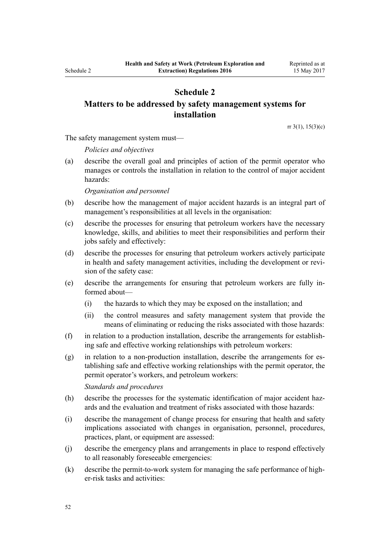# <span id="page-51-0"></span>**Matters to be addressed by safety management systems for installation**

[rr 3\(1\)](#page-5-0), [15\(3\)\(c\)](#page-14-0)

The safety management system must—

*Policies and objectives*

(a) describe the overall goal and principles of action of the permit operator who manages or controls the installation in relation to the control of major accident hazards:

#### *Organisation and personnel*

- (b) describe how the management of major accident hazards is an integral part of management's responsibilities at all levels in the organisation:
- (c) describe the processes for ensuring that petroleum workers have the necessary knowledge, skills, and abilities to meet their responsibilities and perform their jobs safely and effectively:
- (d) describe the processes for ensuring that petroleum workers actively participate in health and safety management activities, including the development or revision of the safety case:
- (e) describe the arrangements for ensuring that petroleum workers are fully informed about—
	- (i) the hazards to which they may be exposed on the installation; and
	- (ii) the control measures and safety management system that provide the means of eliminating or reducing the risks associated with those hazards:
- (f) in relation to a production installation, describe the arrangements for establishing safe and effective working relationships with petroleum workers:
- (g) in relation to a non-production installation, describe the arrangements for establishing safe and effective working relationships with the permit operator, the permit operator's workers, and petroleum workers:

*Standards and procedures*

- (h) describe the processes for the systematic identification of major accident hazards and the evaluation and treatment of risks associated with those hazards:
- (i) describe the management of change process for ensuring that health and safety implications associated with changes in organisation, personnel, procedures, practices, plant, or equipment are assessed:
- (j) describe the emergency plans and arrangements in place to respond effectively to all reasonably foreseeable emergencies:
- (k) describe the permit-to-work system for managing the safe performance of higher-risk tasks and activities: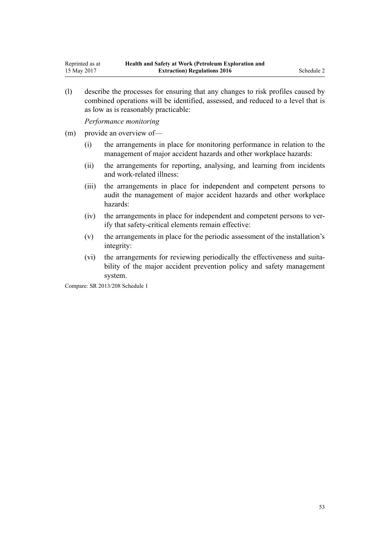(l) describe the processes for ensuring that any changes to risk profiles caused by combined operations will be identified, assessed, and reduced to a level that is as low as is reasonably practicable:

*Performance monitoring*

- (m) provide an overview of—
	- (i) the arrangements in place for monitoring performance in relation to the management of major accident hazards and other workplace hazards:
	- (ii) the arrangements for reporting, analysing, and learning from incidents and work-related illness:
	- (iii) the arrangements in place for independent and competent persons to audit the management of major accident hazards and other workplace hazards:
	- (iv) the arrangements in place for independent and competent persons to verify that safety-critical elements remain effective:
	- (v) the arrangements in place for the periodic assessment of the installation's integrity:
	- (vi) the arrangements for reviewing periodically the effectiveness and suitability of the major accident prevention policy and safety management system.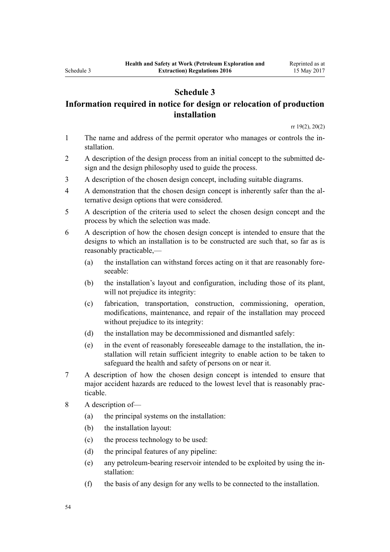# <span id="page-53-0"></span>**Information required in notice for design or relocation of production installation**

[rr 19\(2\)](#page-16-0), [20\(2\)](#page-16-0)

- 1 The name and address of the permit operator who manages or controls the installation.
- 2 A description of the design process from an initial concept to the submitted design and the design philosophy used to guide the process.
- 3 A description of the chosen design concept, including suitable diagrams.
- 4 A demonstration that the chosen design concept is inherently safer than the alternative design options that were considered.
- 5 A description of the criteria used to select the chosen design concept and the process by which the selection was made.
- 6 A description of how the chosen design concept is intended to ensure that the designs to which an installation is to be constructed are such that, so far as is reasonably practicable,—
	- (a) the installation can withstand forces acting on it that are reasonably foreseeable:
	- (b) the installation's layout and configuration, including those of its plant, will not prejudice its integrity:
	- (c) fabrication, transportation, construction, commissioning, operation, modifications, maintenance, and repair of the installation may proceed without prejudice to its integrity:
	- (d) the installation may be decommissioned and dismantled safely:
	- (e) in the event of reasonably foreseeable damage to the installation, the installation will retain sufficient integrity to enable action to be taken to safeguard the health and safety of persons on or near it.
- 7 A description of how the chosen design concept is intended to ensure that major accident hazards are reduced to the lowest level that is reasonably practicable.
- 8 A description of—
	- (a) the principal systems on the installation:
	- (b) the installation layout:
	- (c) the process technology to be used:
	- (d) the principal features of any pipeline:
	- (e) any petroleum-bearing reservoir intended to be exploited by using the installation:
	- (f) the basis of any design for any wells to be connected to the installation.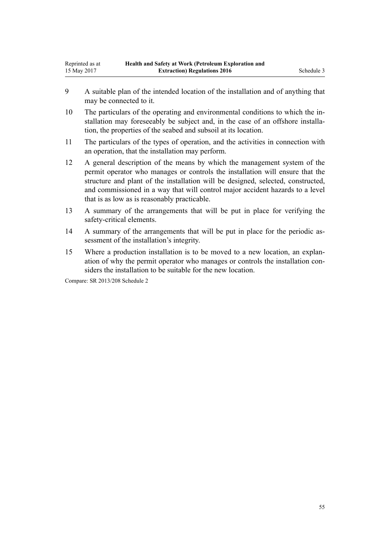- 9 A suitable plan of the intended location of the installation and of anything that may be connected to it.
- 10 The particulars of the operating and environmental conditions to which the installation may foreseeably be subject and, in the case of an offshore installation, the properties of the seabed and subsoil at its location.
- 11 The particulars of the types of operation, and the activities in connection with an operation, that the installation may perform.
- 12 A general description of the means by which the management system of the permit operator who manages or controls the installation will ensure that the structure and plant of the installation will be designed, selected, constructed, and commissioned in a way that will control major accident hazards to a level that is as low as is reasonably practicable.
- 13 A summary of the arrangements that will be put in place for verifying the safety-critical elements.
- 14 A summary of the arrangements that will be put in place for the periodic assessment of the installation's integrity.
- 15 Where a production installation is to be moved to a new location, an explanation of why the permit operator who manages or controls the installation considers the installation to be suitable for the new location.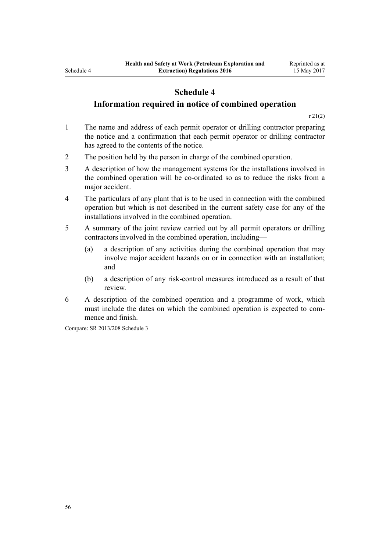# **Information required in notice of combined operation**

[r 21\(2\)](#page-17-0)

- 1 The name and address of each permit operator or drilling contractor preparing the notice and a confirmation that each permit operator or drilling contractor has agreed to the contents of the notice.
- 2 The position held by the person in charge of the combined operation.
- 3 A description of how the management systems for the installations involved in the combined operation will be co-ordinated so as to reduce the risks from a major accident.
- 4 The particulars of any plant that is to be used in connection with the combined operation but which is not described in the current safety case for any of the installations involved in the combined operation.
- 5 A summary of the joint review carried out by all permit operators or drilling contractors involved in the combined operation, including—
	- (a) a description of any activities during the combined operation that may involve major accident hazards on or in connection with an installation; and
	- (b) a description of any risk-control measures introduced as a result of that review.
- 6 A description of the combined operation and a programme of work, which must include the dates on which the combined operation is expected to commence and finish.

Compare: SR 2013/208 [Schedule 3](http://prd-lgnz-nlb.prd.pco.net.nz/pdflink.aspx?id=DLM5202536)

<span id="page-55-0"></span>Schedule 4

56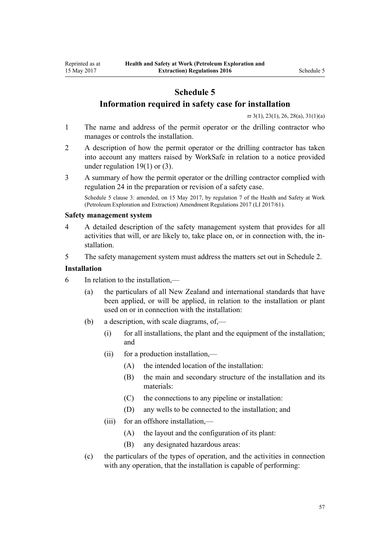# **Information required in safety case for installation**

[rr 3\(1\)](#page-5-0), [23\(1\)](#page-18-0), [26,](#page-19-0) [28\(a\)](#page-20-0), [31\(1\)\(a\)](#page-21-0)

- <span id="page-56-0"></span>1 The name and address of the permit operator or the drilling contractor who manages or controls the installation.
- 2 A description of how the permit operator or the drilling contractor has taken into account any matters raised by WorkSafe in relation to a notice provided under regulation  $19(1)$  or  $(3)$ .
- 3 A summary of how the permit operator or the drilling contractor complied with [regulation 24](#page-18-0) in the preparation or revision of a safety case.

Schedule 5 clause 3: amended, on 15 May 2017, by [regulation 7](http://prd-lgnz-nlb.prd.pco.net.nz/pdflink.aspx?id=DLM7187411) of the Health and Safety at Work (Petroleum Exploration and Extraction) Amendment Regulations 2017 (LI 2017/61).

#### **Safety management system**

- 4 A detailed description of the safety management system that provides for all activities that will, or are likely to, take place on, or in connection with, the installation.
- 5 The safety management system must address the matters set out in [Schedule 2.](#page-51-0)

## **Installation**

- 6 In relation to the installation,—
	- (a) the particulars of all New Zealand and international standards that have been applied, or will be applied, in relation to the installation or plant used on or in connection with the installation:
	- (b) a description, with scale diagrams, of,—
		- (i) for all installations, the plant and the equipment of the installation; and
		- (ii) for a production installation,—
			- (A) the intended location of the installation:
			- (B) the main and secondary structure of the installation and its materials:
			- (C) the connections to any pipeline or installation:
			- (D) any wells to be connected to the installation; and
		- (iii) for an offshore installation,—
			- (A) the layout and the configuration of its plant:
			- (B) any designated hazardous areas:
	- (c) the particulars of the types of operation, and the activities in connection with any operation, that the installation is capable of performing: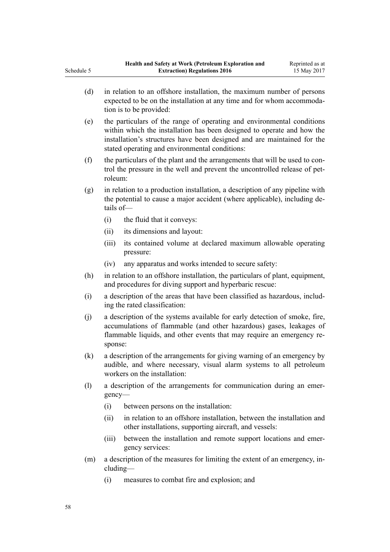- (d) in relation to an offshore installation, the maximum number of persons expected to be on the installation at any time and for whom accommodation is to be provided:
- (e) the particulars of the range of operating and environmental conditions within which the installation has been designed to operate and how the installation's structures have been designed and are maintained for the stated operating and environmental conditions:
- (f) the particulars of the plant and the arrangements that will be used to control the pressure in the well and prevent the uncontrolled release of petroleum:
- (g) in relation to a production installation, a description of any pipeline with the potential to cause a major accident (where applicable), including details of—
	- (i) the fluid that it conveys:
	- (ii) its dimensions and layout:
	- (iii) its contained volume at declared maximum allowable operating pressure:
	- (iv) any apparatus and works intended to secure safety:
- (h) in relation to an offshore installation, the particulars of plant, equipment, and procedures for diving support and hyperbaric rescue:
- (i) a description of the areas that have been classified as hazardous, including the rated classification:
- (j) a description of the systems available for early detection of smoke, fire, accumulations of flammable (and other hazardous) gases, leakages of flammable liquids, and other events that may require an emergency response:
- (k) a description of the arrangements for giving warning of an emergency by audible, and where necessary, visual alarm systems to all petroleum workers on the installation:
- (l) a description of the arrangements for communication during an emergency—
	- (i) between persons on the installation:
	- (ii) in relation to an offshore installation, between the installation and other installations, supporting aircraft, and vessels:
	- (iii) between the installation and remote support locations and emergency services:
- (m) a description of the measures for limiting the extent of an emergency, including—
	- (i) measures to combat fire and explosion; and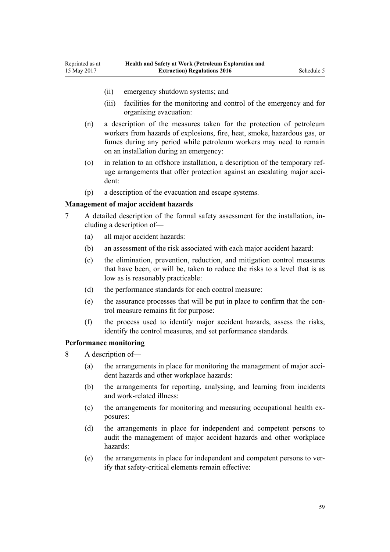- (ii) emergency shutdown systems; and
- (iii) facilities for the monitoring and control of the emergency and for organising evacuation:
- (n) a description of the measures taken for the protection of petroleum workers from hazards of explosions, fire, heat, smoke, hazardous gas, or fumes during any period while petroleum workers may need to remain on an installation during an emergency:
- (o) in relation to an offshore installation, a description of the temporary refuge arrangements that offer protection against an escalating major accident:
- (p) a description of the evacuation and escape systems.

## **Management of major accident hazards**

- 7 A detailed description of the formal safety assessment for the installation, including a description of—
	- (a) all major accident hazards:
	- (b) an assessment of the risk associated with each major accident hazard:
	- (c) the elimination, prevention, reduction, and mitigation control measures that have been, or will be, taken to reduce the risks to a level that is as low as is reasonably practicable:
	- (d) the performance standards for each control measure:
	- (e) the assurance processes that will be put in place to confirm that the control measure remains fit for purpose:
	- (f) the process used to identify major accident hazards, assess the risks, identify the control measures, and set performance standards.

#### **Performance monitoring**

- 8 A description of—
	- (a) the arrangements in place for monitoring the management of major accident hazards and other workplace hazards:
	- (b) the arrangements for reporting, analysing, and learning from incidents and work-related illness:
	- (c) the arrangements for monitoring and measuring occupational health exposures:
	- (d) the arrangements in place for independent and competent persons to audit the management of major accident hazards and other workplace hazards:
	- (e) the arrangements in place for independent and competent persons to verify that safety-critical elements remain effective: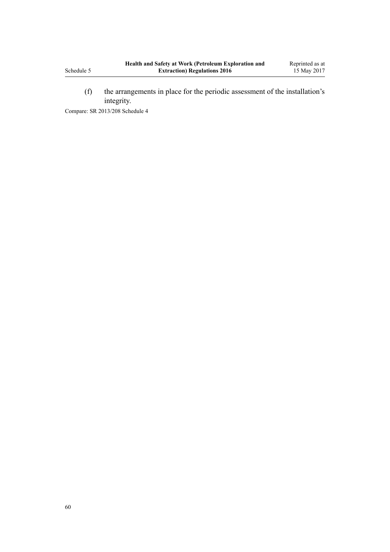(f) the arrangements in place for the periodic assessment of the installation's integrity.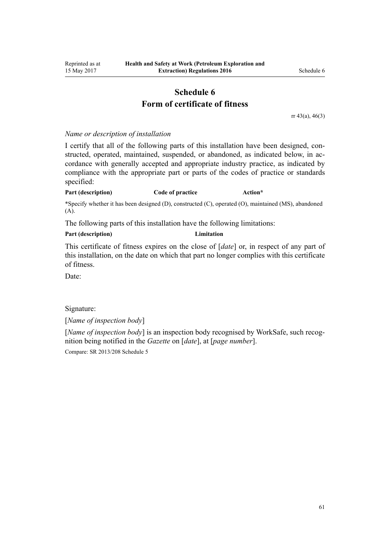# **Schedule 6 Form of certificate of fitness**

[rr 43\(a\)](#page-28-0), [46\(3\)](#page-29-0)

#### <span id="page-60-0"></span>*Name or description of installation*

I certify that all of the following parts of this installation have been designed, constructed, operated, maintained, suspended, or abandoned, as indicated below, in accordance with generally accepted and appropriate industry practice, as indicated by compliance with the appropriate part or parts of the codes of practice or standards specified:

#### **Part (description) Code of practice Action\***

\*Specify whether it has been designed (D), constructed (C), operated (O), maintained (MS), abandoned (A).

The following parts of this installation have the following limitations:

#### **Part (description) Limitation**

This certificate of fitness expires on the close of [*date*] or, in respect of any part of this installation, on the date on which that part no longer complies with this certificate of fitness.

Date:

Signature:

[*Name of inspection body*]

[*Name of inspection body*] is an inspection body recognised by WorkSafe, such recognition being notified in the *Gazette* on [*date*], at [*page number*].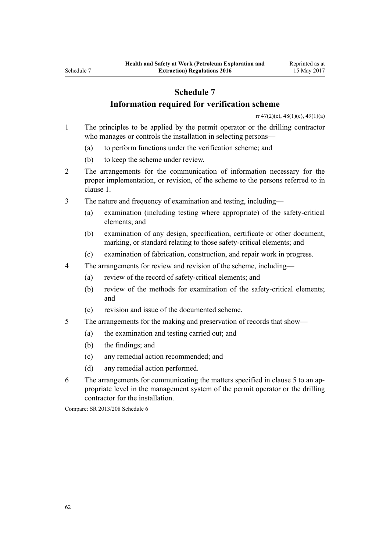# **Information required for verification scheme**

[rr 47\(2\)\(e\)](#page-29-0), [48\(1\)\(c\)](#page-30-0), [49\(1\)\(a\)](#page-31-0)

- <span id="page-61-0"></span>1 The principles to be applied by the permit operator or the drilling contractor who manages or controls the installation in selecting persons—
	- (a) to perform functions under the verification scheme; and
	- (b) to keep the scheme under review.
- 2 The arrangements for the communication of information necessary for the proper implementation, or revision, of the scheme to the persons referred to in clause 1.
- 3 The nature and frequency of examination and testing, including—
	- (a) examination (including testing where appropriate) of the safety-critical elements; and
	- (b) examination of any design, specification, certificate or other document, marking, or standard relating to those safety-critical elements; and
	- (c) examination of fabrication, construction, and repair work in progress.
- 4 The arrangements for review and revision of the scheme, including—
	- (a) review of the record of safety-critical elements; and
	- (b) review of the methods for examination of the safety-critical elements; and
	- (c) revision and issue of the documented scheme.
- 5 The arrangements for the making and preservation of records that show—
	- (a) the examination and testing carried out; and
	- (b) the findings; and
	- (c) any remedial action recommended; and
	- (d) any remedial action performed.
- 6 The arrangements for communicating the matters specified in clause 5 to an appropriate level in the management system of the permit operator or the drilling contractor for the installation.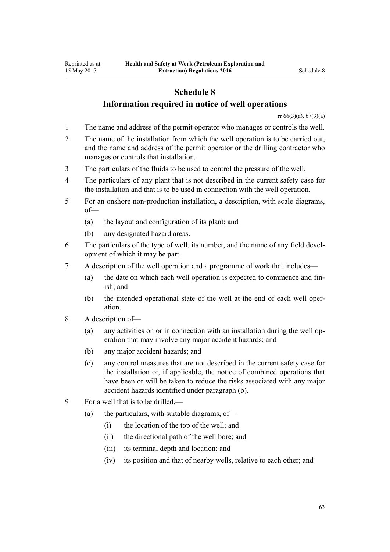# **Information required in notice of well operations**

[rr 66\(3\)\(a\)](#page-38-0), [67\(3\)\(a\)](#page-38-0)

- <span id="page-62-0"></span>1 The name and address of the permit operator who manages or controls the well.
- 2 The name of the installation from which the well operation is to be carried out, and the name and address of the permit operator or the drilling contractor who manages or controls that installation.
- 3 The particulars of the fluids to be used to control the pressure of the well.
- 4 The particulars of any plant that is not described in the current safety case for the installation and that is to be used in connection with the well operation.
- 5 For an onshore non-production installation, a description, with scale diagrams, of—
	- (a) the layout and configuration of its plant; and
	- (b) any designated hazard areas.
- 6 The particulars of the type of well, its number, and the name of any field development of which it may be part.
- 7 A description of the well operation and a programme of work that includes—
	- (a) the date on which each well operation is expected to commence and finish; and
	- (b) the intended operational state of the well at the end of each well operation.
- 8 A description of—
	- (a) any activities on or in connection with an installation during the well operation that may involve any major accident hazards; and
	- (b) any major accident hazards; and
	- (c) any control measures that are not described in the current safety case for the installation or, if applicable, the notice of combined operations that have been or will be taken to reduce the risks associated with any major accident hazards identified under paragraph (b).
- 9 For a well that is to be drilled,—
	- (a) the particulars, with suitable diagrams, of—
		- (i) the location of the top of the well; and
		- (ii) the directional path of the well bore; and
		- (iii) its terminal depth and location; and
		- (iv) its position and that of nearby wells, relative to each other; and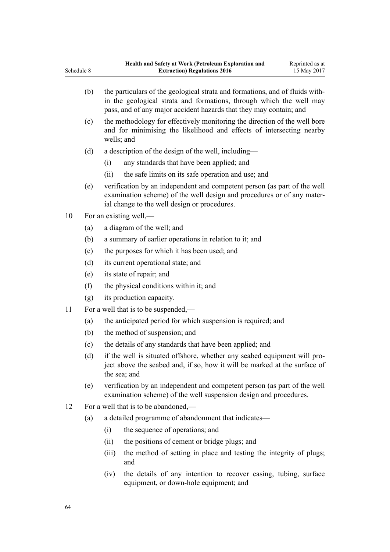| Schedule 8 |     | <b>Extraction) Regulations 2016</b>                                                                                                                                                                                       | 15 May 2017 |
|------------|-----|---------------------------------------------------------------------------------------------------------------------------------------------------------------------------------------------------------------------------|-------------|
|            | (b) | the particulars of the geological strata and formations, and of fluids with-<br>in the geological strata and formations, through which the well may<br>pass, and of any major accident hazards that they may contain; and |             |
|            | (c) | the methodology for effectively monitoring the direction of the well bore<br>and for minimising the likelihood and effects of intersecting nearby<br>wells; and                                                           |             |
|            | (d) | a description of the design of the well, including—                                                                                                                                                                       |             |
|            |     | any standards that have been applied; and<br>(i)                                                                                                                                                                          |             |
|            |     | the safe limits on its safe operation and use; and<br>(ii)                                                                                                                                                                |             |
|            | (e) | verification by an independent and competent person (as part of the well<br>examination scheme) of the well design and procedures or of any mater-<br>ial change to the well design or procedures.                        |             |
| 10         |     | For an existing well,—                                                                                                                                                                                                    |             |
|            | (a) | a diagram of the well; and                                                                                                                                                                                                |             |
|            | (b) | a summary of earlier operations in relation to it; and                                                                                                                                                                    |             |
|            | (c) | the purposes for which it has been used; and                                                                                                                                                                              |             |
|            | (d) | its current operational state; and                                                                                                                                                                                        |             |
|            | (e) | its state of repair; and                                                                                                                                                                                                  |             |
|            | (f) | the physical conditions within it; and                                                                                                                                                                                    |             |
|            | (g) | its production capacity.                                                                                                                                                                                                  |             |
| 11         |     | For a well that is to be suspended,—                                                                                                                                                                                      |             |
|            | (a) | the anticipated period for which suspension is required; and                                                                                                                                                              |             |
|            | (b) | the method of suspension; and                                                                                                                                                                                             |             |
|            | (c) | the details of any standards that have been applied; and                                                                                                                                                                  |             |
|            | (d) | if the well is situated offshore, whether any seabed equipment will pro-<br>ject above the seabed and, if so, how it will be marked at the surface of<br>the sea; and                                                     |             |
|            | (e) | verification by an independent and competent person (as part of the well<br>examination scheme) of the well suspension design and procedures.                                                                             |             |
| 12         |     | For a well that is to be abandoned,—                                                                                                                                                                                      |             |
|            | (a) | a detailed programme of abandonment that indicates—                                                                                                                                                                       |             |
|            |     | the sequence of operations; and<br>(i)                                                                                                                                                                                    |             |
|            |     | the positions of cement or bridge plugs; and<br>(ii)                                                                                                                                                                      |             |
|            |     | (iii)<br>the method of setting in place and testing the integrity of plugs;                                                                                                                                               |             |

and (iv) the details of any intention to recover casing, tubing, surface equipment, or down-hole equipment; and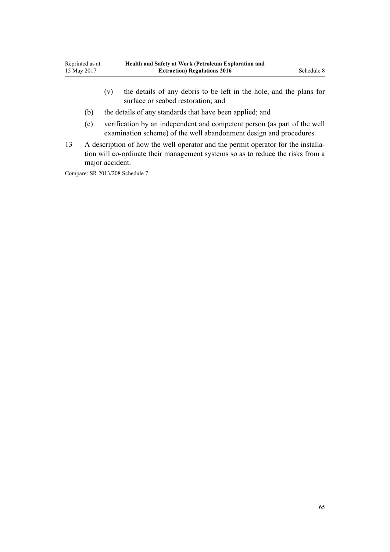- (v) the details of any debris to be left in the hole, and the plans for surface or seabed restoration; and
- (b) the details of any standards that have been applied; and
- (c) verification by an independent and competent person (as part of the well examination scheme) of the well abandonment design and procedures.
- 13 A description of how the well operator and the permit operator for the installation will co-ordinate their management systems so as to reduce the risks from a major accident.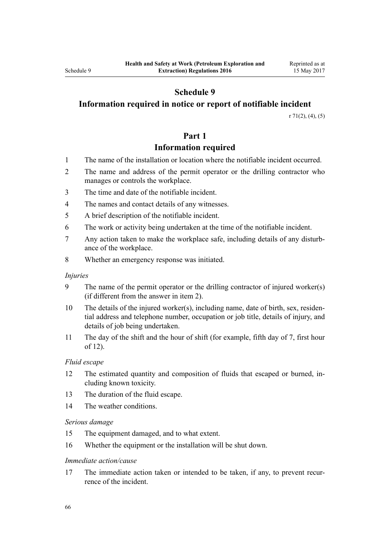# <span id="page-65-0"></span>**Information required in notice or report of notifiable incident**

[r 71\(2\), \(4\), \(5\)](#page-41-0)

# **Part 1**

# **Information required**

- 1 The name of the installation or location where the notifiable incident occurred.
- 2 The name and address of the permit operator or the drilling contractor who manages or controls the workplace.
- 3 The time and date of the notifiable incident.
- 4 The names and contact details of any witnesses.
- 5 A brief description of the notifiable incident.
- 6 The work or activity being undertaken at the time of the notifiable incident.
- 7 Any action taken to make the workplace safe, including details of any disturbance of the workplace.
- 8 Whether an emergency response was initiated.

#### *Injuries*

- 9 The name of the permit operator or the drilling contractor of injured worker(s) (if different from the answer in item 2).
- 10 The details of the injured worker(s), including name, date of birth, sex, residential address and telephone number, occupation or job title, details of injury, and details of job being undertaken.
- 11 The day of the shift and the hour of shift (for example, fifth day of 7, first hour of 12).

#### *Fluid escape*

- 12 The estimated quantity and composition of fluids that escaped or burned, including known toxicity.
- 13 The duration of the fluid escape.
- 14 The weather conditions.

#### *Serious damage*

- 15 The equipment damaged, and to what extent.
- 16 Whether the equipment or the installation will be shut down.

#### *Immediate action/cause*

17 The immediate action taken or intended to be taken, if any, to prevent recurrence of the incident.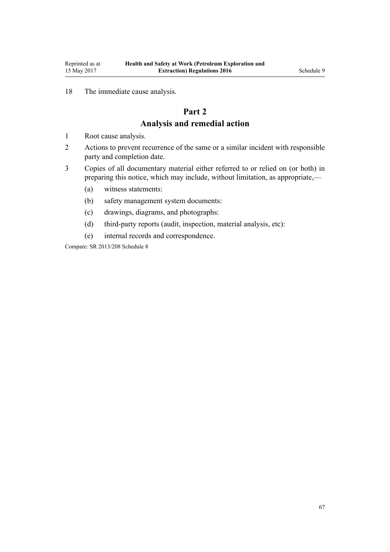# <span id="page-66-0"></span>18 The immediate cause analysis.

# **Part 2**

# **Analysis and remedial action**

- 1 Root cause analysis.
- 2 Actions to prevent recurrence of the same or a similar incident with responsible party and completion date.
- 3 Copies of all documentary material either referred to or relied on (or both) in preparing this notice, which may include, without limitation, as appropriate,—
	- (a) witness statements:
	- (b) safety management system documents:
	- (c) drawings, diagrams, and photographs:
	- (d) third-party reports (audit, inspection, material analysis, etc):
	- (e) internal records and correspondence.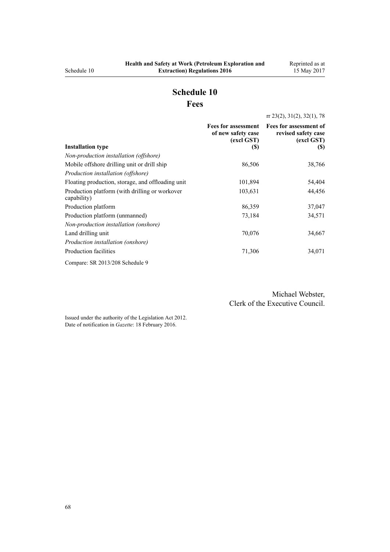# **Schedule 10 Fees**

[rr 23\(2\),](#page-18-0) [31\(2\),](#page-21-0) [32\(1\),](#page-22-0) [78](#page-47-0)

<span id="page-67-0"></span>

|                                                               | of new safety case<br>(excl GST) | Fees for assessment Fees for assessment of<br>revised safety case<br>(excl GST) |
|---------------------------------------------------------------|----------------------------------|---------------------------------------------------------------------------------|
| <b>Installation type</b>                                      | (S)                              | (S)                                                                             |
| Non-production installation (offshore)                        |                                  |                                                                                 |
| Mobile offshore drilling unit or drill ship                   | 86,506                           | 38,766                                                                          |
| Production installation (offshore)                            |                                  |                                                                                 |
| Floating production, storage, and offloading unit             | 101,894                          | 54,404                                                                          |
| Production platform (with drilling or workover<br>capability) | 103,631                          | 44,456                                                                          |
| Production platform                                           | 86,359                           | 37,047                                                                          |
| Production platform (unmanned)                                | 73,184                           | 34,571                                                                          |
| Non-production installation (onshore)                         |                                  |                                                                                 |
| Land drilling unit                                            | 70,076                           | 34,667                                                                          |
| Production installation (onshore)                             |                                  |                                                                                 |
| Production facilities                                         | 71,306                           | 34,071                                                                          |
| Compare: SR 2013/208 Schedule 9                               |                                  |                                                                                 |

Michael Webster, Clerk of the Executive Council.

Issued under the authority of the [Legislation Act 2012](http://prd-lgnz-nlb.prd.pco.net.nz/pdflink.aspx?id=DLM2997643). Date of notification in *Gazette*: 18 February 2016.